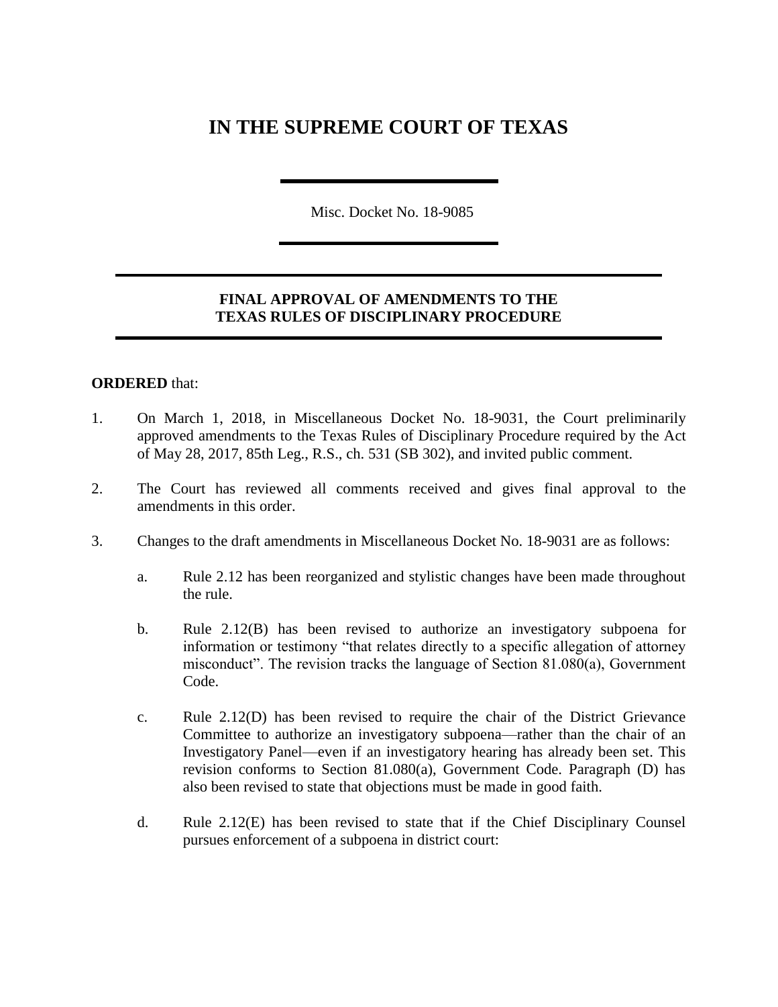# **IN THE SUPREME COURT OF TEXAS**

Misc. Docket No. 18-9085

### **FINAL APPROVAL OF AMENDMENTS TO THE TEXAS RULES OF DISCIPLINARY PROCEDURE**

#### **ORDERED** that:

- 1. On March 1, 2018, in Miscellaneous Docket No. 18-9031, the Court preliminarily approved amendments to the Texas Rules of Disciplinary Procedure required by the Act of May 28, 2017, 85th Leg., R.S., ch. 531 (SB 302), and invited public comment.
- 2. The Court has reviewed all comments received and gives final approval to the amendments in this order.
- 3. Changes to the draft amendments in Miscellaneous Docket No. 18-9031 are as follows:
	- a. Rule 2.12 has been reorganized and stylistic changes have been made throughout the rule.
	- b. Rule 2.12(B) has been revised to authorize an investigatory subpoena for information or testimony "that relates directly to a specific allegation of attorney misconduct". The revision tracks the language of Section 81.080(a), Government Code.
	- c. Rule 2.12(D) has been revised to require the chair of the District Grievance Committee to authorize an investigatory subpoena—rather than the chair of an Investigatory Panel—even if an investigatory hearing has already been set. This revision conforms to Section 81.080(a), Government Code. Paragraph (D) has also been revised to state that objections must be made in good faith.
	- d. Rule 2.12(E) has been revised to state that if the Chief Disciplinary Counsel pursues enforcement of a subpoena in district court: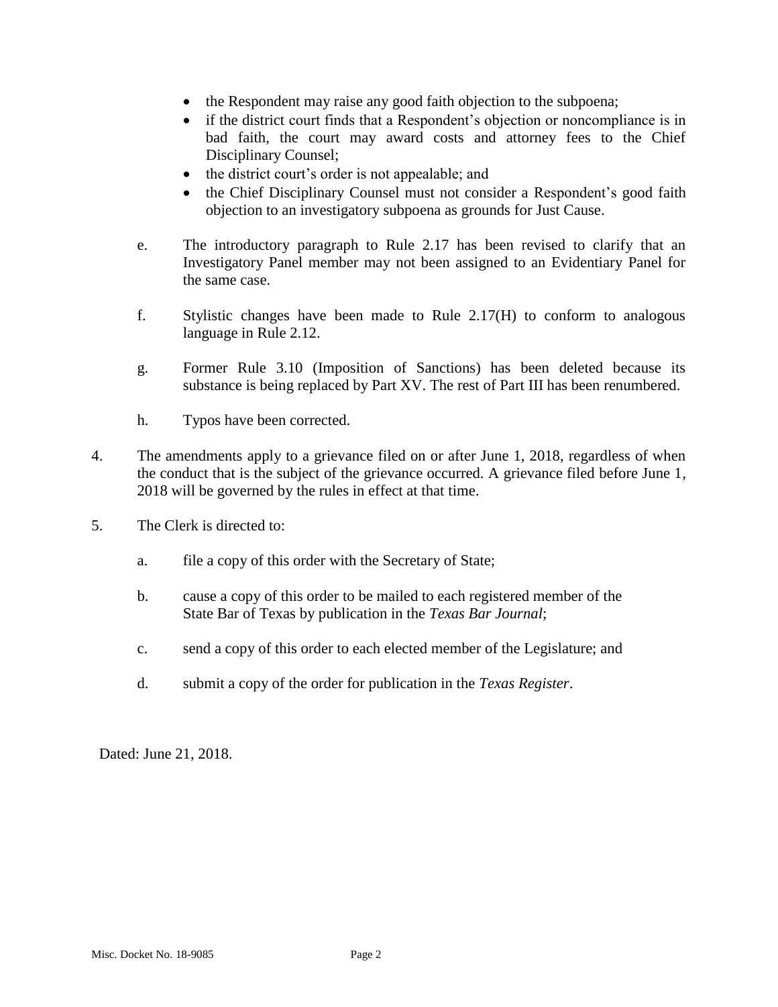- the Respondent may raise any good faith objection to the subpoena;
- if the district court finds that a Respondent's objection or noncompliance is in bad faith, the court may award costs and attorney fees to the Chief Disciplinary Counsel;
- the district court's order is not appealable; and
- the Chief Disciplinary Counsel must not consider a Respondent's good faith objection to an investigatory subpoena as grounds for Just Cause.
- e. The introductory paragraph to Rule 2.17 has been revised to clarify that an Investigatory Panel member may not been assigned to an Evidentiary Panel for the same case.
- f. Stylistic changes have been made to Rule 2.17(H) to conform to analogous language in Rule 2.12.
- g. Former Rule 3.10 (Imposition of Sanctions) has been deleted because its substance is being replaced by Part XV. The rest of Part III has been renumbered.
- h. Typos have been corrected.
- 4. The amendments apply to a grievance filed on or after June 1, 2018, regardless of when the conduct that is the subject of the grievance occurred. A grievance filed before June 1, 2018 will be governed by the rules in effect at that time.
- 5. The Clerk is directed to:
	- a. file a copy of this order with the Secretary of State;
	- b. cause a copy of this order to be mailed to each registered member of the State Bar of Texas by publication in the *Texas Bar Journal*;
	- c. send a copy of this order to each elected member of the Legislature; and
	- d. submit a copy of the order for publication in the *Texas Register*.

Dated: June 21, 2018.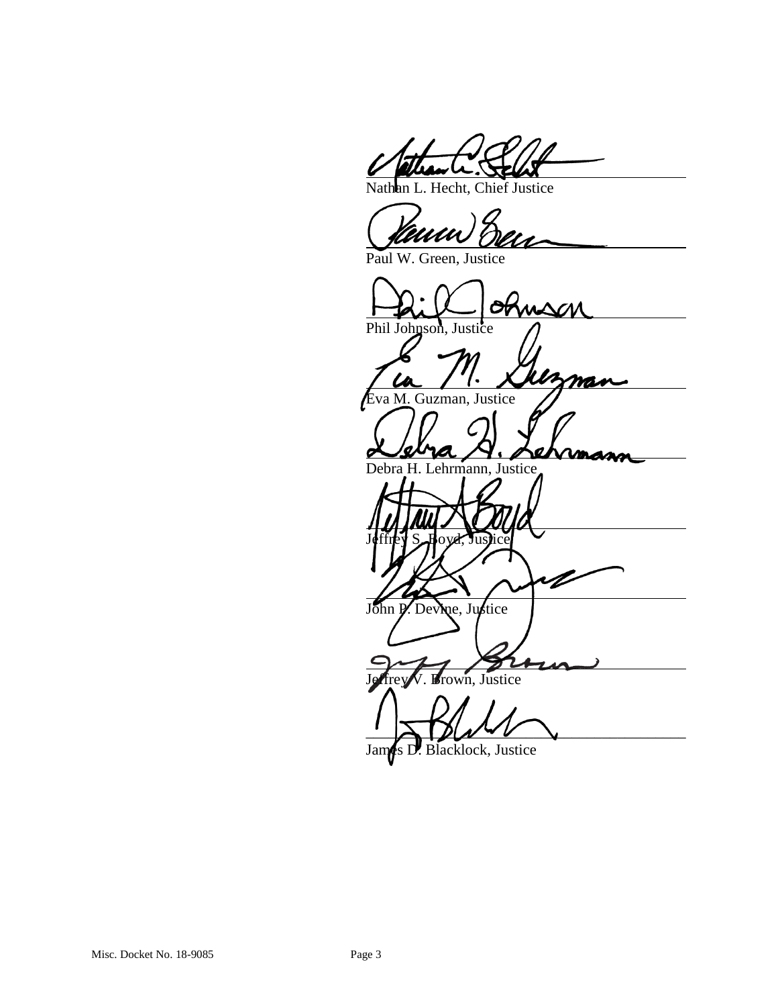Nathan L. Hecht, Chief Justice

Paul W. Green, Justice

MSM Phil Johnson, Justice mas Eva M. Guzman, Justice Debra H. Lehrmann, Justice Jeffrey S. Boyd, Justice John P. Devine, Justice own, Justice  $\rightarrow$ James D. Blacklock, Justice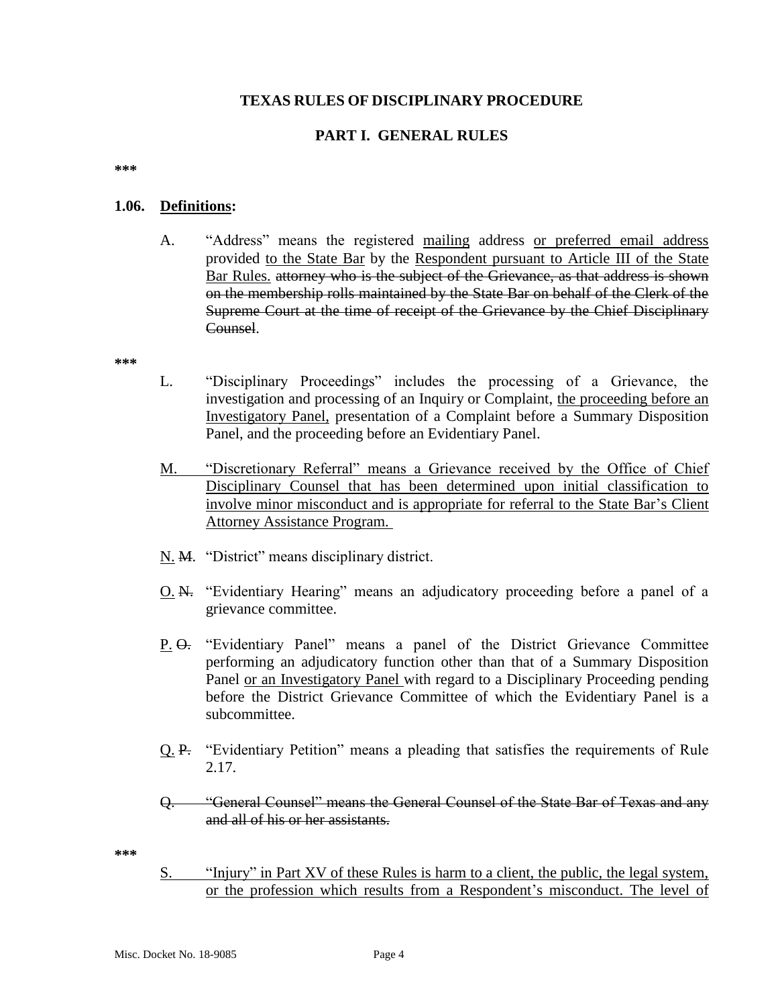#### **TEXAS RULES OF DISCIPLINARY PROCEDURE**

### **PART I. GENERAL RULES**

**\*\*\***

#### **1.06. Definitions:**

A. "Address" means the registered mailing address or preferred email address provided to the State Bar by the Respondent pursuant to Article III of the State Bar Rules. attorney who is the subject of the Grievance, as that address is shown on the membership rolls maintained by the State Bar on behalf of the Clerk of the Supreme Court at the time of receipt of the Grievance by the Chief Disciplinary Counsel.

**\*\*\***

- L. "Disciplinary Proceedings" includes the processing of a Grievance, the investigation and processing of an Inquiry or Complaint, the proceeding before an Investigatory Panel, presentation of a Complaint before a Summary Disposition Panel, and the proceeding before an Evidentiary Panel.
- M. "Discretionary Referral" means a Grievance received by the Office of Chief Disciplinary Counsel that has been determined upon initial classification to involve minor misconduct and is appropriate for referral to the State Bar's Client Attorney Assistance Program.
- N. M. "District" means disciplinary district.
- O. N. "Evidentiary Hearing" means an adjudicatory proceeding before a panel of a grievance committee.
- P. O. "Evidentiary Panel" means a panel of the District Grievance Committee performing an adjudicatory function other than that of a Summary Disposition Panel or an Investigatory Panel with regard to a Disciplinary Proceeding pending before the District Grievance Committee of which the Evidentiary Panel is a subcommittee.
- Q. P. "Evidentiary Petition" means a pleading that satisfies the requirements of Rule 2.17.
- Q. "General Counsel" means the General Counsel of the State Bar of Texas and any and all of his or her assistants.

**\*\*\***

S. "Injury" in Part XV of these Rules is harm to a client, the public, the legal system, or the profession which results from a Respondent's misconduct. The level of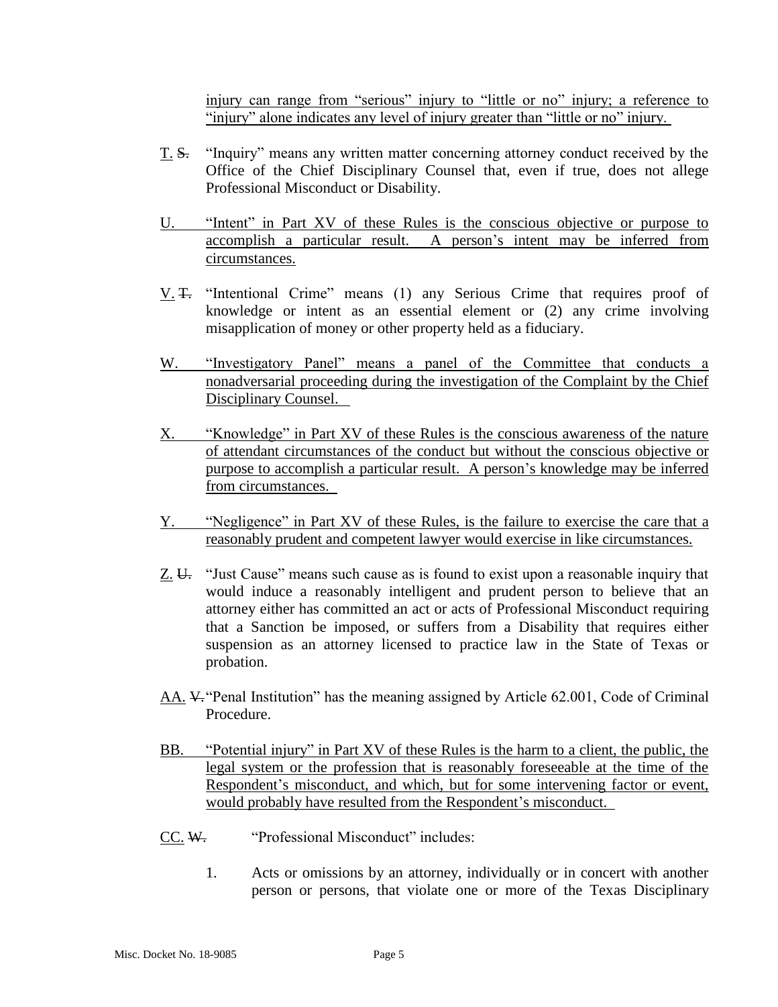injury can range from "serious" injury to "little or no" injury; a reference to "injury" alone indicates any level of injury greater than "little or no" injury.

- T. S. "Inquiry" means any written matter concerning attorney conduct received by the Office of the Chief Disciplinary Counsel that, even if true, does not allege Professional Misconduct or Disability.
- U. "Intent" in Part XV of these Rules is the conscious objective or purpose to accomplish a particular result. A person's intent may be inferred from circumstances.
- V. T. "Intentional Crime" means (1) any Serious Crime that requires proof of knowledge or intent as an essential element or (2) any crime involving misapplication of money or other property held as a fiduciary.
- W. "Investigatory Panel" means a panel of the Committee that conducts a nonadversarial proceeding during the investigation of the Complaint by the Chief Disciplinary Counsel.
- X. "Knowledge" in Part XV of these Rules is the conscious awareness of the nature of attendant circumstances of the conduct but without the conscious objective or purpose to accomplish a particular result. A person's knowledge may be inferred from circumstances.
- Y. "Negligence" in Part XV of these Rules, is the failure to exercise the care that a reasonably prudent and competent lawyer would exercise in like circumstances.
- Z. U. "Just Cause" means such cause as is found to exist upon a reasonable inquiry that would induce a reasonably intelligent and prudent person to believe that an attorney either has committed an act or acts of Professional Misconduct requiring that a Sanction be imposed, or suffers from a Disability that requires either suspension as an attorney licensed to practice law in the State of Texas or probation.
- AA. V."Penal Institution" has the meaning assigned by Article 62.001, Code of Criminal Procedure.
- BB. "Potential injury" in Part XV of these Rules is the harm to a client, the public, the legal system or the profession that is reasonably foreseeable at the time of the Respondent's misconduct, and which, but for some intervening factor or event, would probably have resulted from the Respondent's misconduct.
- CC. W. "Professional Misconduct" includes:
	- 1. Acts or omissions by an attorney, individually or in concert with another person or persons, that violate one or more of the Texas Disciplinary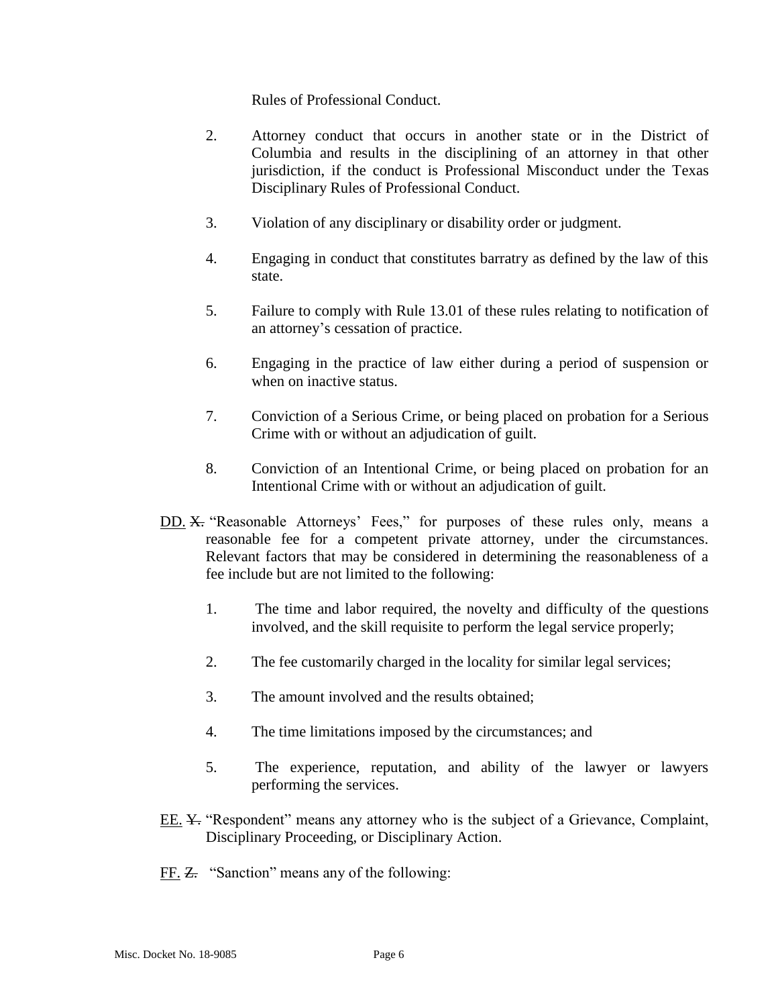Rules of Professional Conduct.

- 2. Attorney conduct that occurs in another state or in the District of Columbia and results in the disciplining of an attorney in that other jurisdiction, if the conduct is Professional Misconduct under the Texas Disciplinary Rules of Professional Conduct.
- 3. Violation of any disciplinary or disability order or judgment.
- 4. Engaging in conduct that constitutes barratry as defined by the law of this state.
- 5. Failure to comply with Rule 13.01 of these rules relating to notification of an attorney's cessation of practice.
- 6. Engaging in the practice of law either during a period of suspension or when on inactive status.
- 7. Conviction of a Serious Crime, or being placed on probation for a Serious Crime with or without an adjudication of guilt.
- 8. Conviction of an Intentional Crime, or being placed on probation for an Intentional Crime with or without an adjudication of guilt.
- DD. X. "Reasonable Attorneys' Fees," for purposes of these rules only, means a reasonable fee for a competent private attorney, under the circumstances. Relevant factors that may be considered in determining the reasonableness of a fee include but are not limited to the following:
	- 1. The time and labor required, the novelty and difficulty of the questions involved, and the skill requisite to perform the legal service properly;
	- 2. The fee customarily charged in the locality for similar legal services;
	- 3. The amount involved and the results obtained;
	- 4. The time limitations imposed by the circumstances; and
	- 5. The experience, reputation, and ability of the lawyer or lawyers performing the services.
- EE. <del>Y.</del> "Respondent" means any attorney who is the subject of a Grievance, Complaint, Disciplinary Proceeding, or Disciplinary Action.
- FF. Z. "Sanction" means any of the following: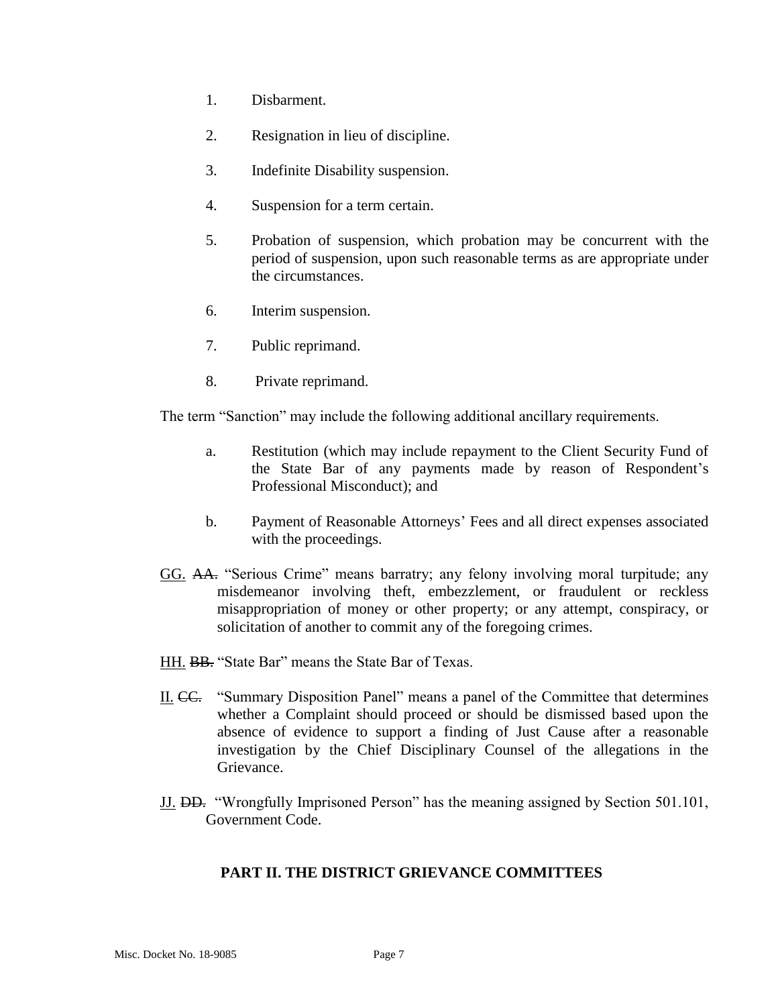- 1. Disbarment.
- 2. Resignation in lieu of discipline.
- 3. Indefinite Disability suspension.
- 4. Suspension for a term certain.
- 5. Probation of suspension, which probation may be concurrent with the period of suspension, upon such reasonable terms as are appropriate under the circumstances.
- 6. Interim suspension.
- 7. Public reprimand.
- 8. Private reprimand.

The term "Sanction" may include the following additional ancillary requirements.

- a. Restitution (which may include repayment to the Client Security Fund of the State Bar of any payments made by reason of Respondent's Professional Misconduct); and
- b. Payment of Reasonable Attorneys' Fees and all direct expenses associated with the proceedings.
- GG. AA. "Serious Crime" means barratry; any felony involving moral turpitude; any misdemeanor involving theft, embezzlement, or fraudulent or reckless misappropriation of money or other property; or any attempt, conspiracy, or solicitation of another to commit any of the foregoing crimes.
- HH. BB. "State Bar" means the State Bar of Texas.
- II. CC. "Summary Disposition Panel" means a panel of the Committee that determines whether a Complaint should proceed or should be dismissed based upon the absence of evidence to support a finding of Just Cause after a reasonable investigation by the Chief Disciplinary Counsel of the allegations in the Grievance.
- JJ. DD. "Wrongfully Imprisoned Person" has the meaning assigned by Section 501.101, Government Code.

#### **PART II. THE DISTRICT GRIEVANCE COMMITTEES**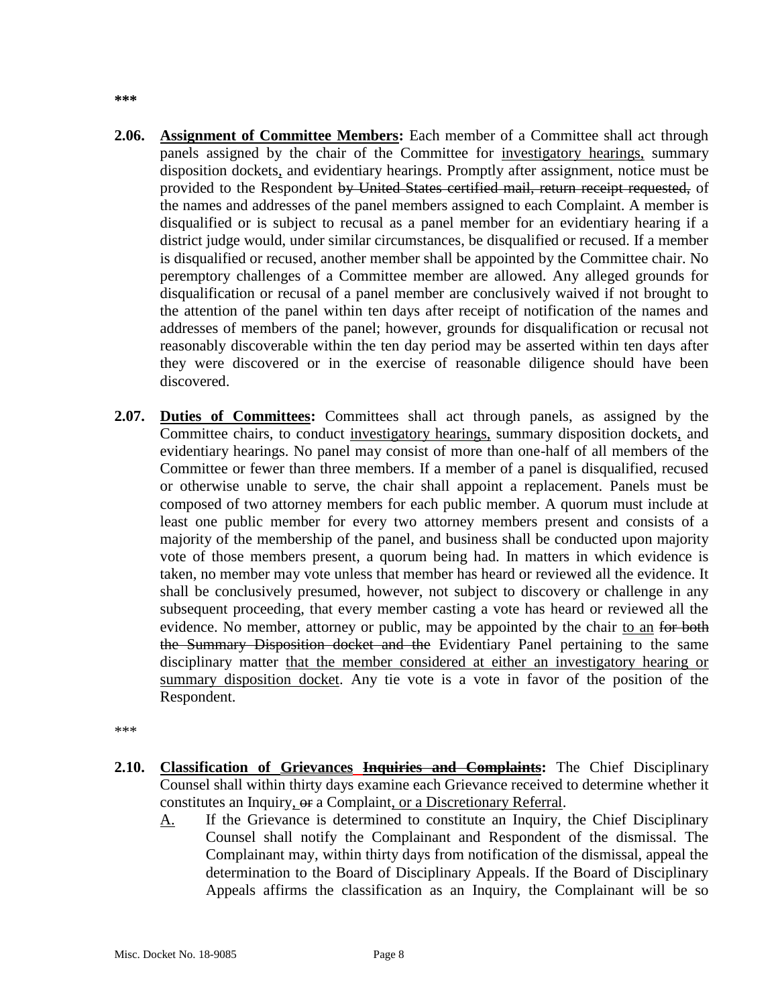- **2.06. Assignment of Committee Members:** Each member of a Committee shall act through panels assigned by the chair of the Committee for investigatory hearings, summary disposition dockets, and evidentiary hearings. Promptly after assignment, notice must be provided to the Respondent by United States certified mail, return receipt requested, of the names and addresses of the panel members assigned to each Complaint. A member is disqualified or is subject to recusal as a panel member for an evidentiary hearing if a district judge would, under similar circumstances, be disqualified or recused. If a member is disqualified or recused, another member shall be appointed by the Committee chair. No peremptory challenges of a Committee member are allowed. Any alleged grounds for disqualification or recusal of a panel member are conclusively waived if not brought to the attention of the panel within ten days after receipt of notification of the names and addresses of members of the panel; however, grounds for disqualification or recusal not reasonably discoverable within the ten day period may be asserted within ten days after they were discovered or in the exercise of reasonable diligence should have been discovered.
- **2.07. Duties of Committees:** Committees shall act through panels, as assigned by the Committee chairs, to conduct investigatory hearings, summary disposition dockets, and evidentiary hearings. No panel may consist of more than one-half of all members of the Committee or fewer than three members. If a member of a panel is disqualified, recused or otherwise unable to serve, the chair shall appoint a replacement. Panels must be composed of two attorney members for each public member. A quorum must include at least one public member for every two attorney members present and consists of a majority of the membership of the panel, and business shall be conducted upon majority vote of those members present, a quorum being had. In matters in which evidence is taken, no member may vote unless that member has heard or reviewed all the evidence. It shall be conclusively presumed, however, not subject to discovery or challenge in any subsequent proceeding, that every member casting a vote has heard or reviewed all the evidence. No member, attorney or public, may be appointed by the chair to an for both the Summary Disposition docket and the Evidentiary Panel pertaining to the same disciplinary matter that the member considered at either an investigatory hearing or summary disposition docket. Any tie vote is a vote in favor of the position of the Respondent.

\*\*\*

- **2.10. Classification of Grievances Inquiries and Complaints:** The Chief Disciplinary Counsel shall within thirty days examine each Grievance received to determine whether it constitutes an Inquiry, or a Complaint, or a Discretionary Referral.
	- A. If the Grievance is determined to constitute an Inquiry, the Chief Disciplinary Counsel shall notify the Complainant and Respondent of the dismissal. The Complainant may, within thirty days from notification of the dismissal, appeal the determination to the Board of Disciplinary Appeals. If the Board of Disciplinary Appeals affirms the classification as an Inquiry, the Complainant will be so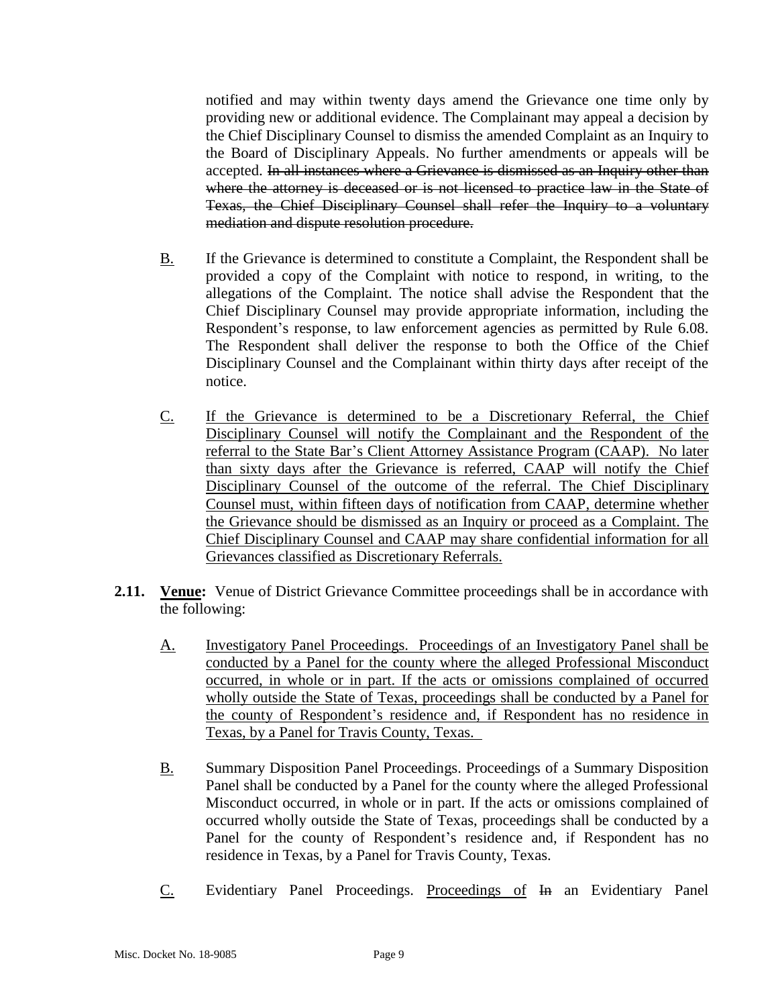notified and may within twenty days amend the Grievance one time only by providing new or additional evidence. The Complainant may appeal a decision by the Chief Disciplinary Counsel to dismiss the amended Complaint as an Inquiry to the Board of Disciplinary Appeals. No further amendments or appeals will be accepted. In all instances where a Grievance is dismissed as an Inquiry other than where the attorney is deceased or is not licensed to practice law in the State of Texas, the Chief Disciplinary Counsel shall refer the Inquiry to a voluntary mediation and dispute resolution procedure.

- B. If the Grievance is determined to constitute a Complaint, the Respondent shall be provided a copy of the Complaint with notice to respond, in writing, to the allegations of the Complaint. The notice shall advise the Respondent that the Chief Disciplinary Counsel may provide appropriate information, including the Respondent's response, to law enforcement agencies as permitted by Rule 6.08. The Respondent shall deliver the response to both the Office of the Chief Disciplinary Counsel and the Complainant within thirty days after receipt of the notice.
- C. If the Grievance is determined to be a Discretionary Referral, the Chief Disciplinary Counsel will notify the Complainant and the Respondent of the referral to the State Bar's Client Attorney Assistance Program (CAAP). No later than sixty days after the Grievance is referred, CAAP will notify the Chief Disciplinary Counsel of the outcome of the referral. The Chief Disciplinary Counsel must, within fifteen days of notification from CAAP, determine whether the Grievance should be dismissed as an Inquiry or proceed as a Complaint. The Chief Disciplinary Counsel and CAAP may share confidential information for all Grievances classified as Discretionary Referrals.
- **2.11.** Venue: Venue of District Grievance Committee proceedings shall be in accordance with the following:
	- A. Investigatory Panel Proceedings. Proceedings of an Investigatory Panel shall be conducted by a Panel for the county where the alleged Professional Misconduct occurred, in whole or in part. If the acts or omissions complained of occurred wholly outside the State of Texas, proceedings shall be conducted by a Panel for the county of Respondent's residence and, if Respondent has no residence in Texas, by a Panel for Travis County, Texas.
	- B. Summary Disposition Panel Proceedings. Proceedings of a Summary Disposition Panel shall be conducted by a Panel for the county where the alleged Professional Misconduct occurred, in whole or in part. If the acts or omissions complained of occurred wholly outside the State of Texas, proceedings shall be conducted by a Panel for the county of Respondent's residence and, if Respondent has no residence in Texas, by a Panel for Travis County, Texas.
	- C. Evidentiary Panel Proceedings. Proceedings of In an Evidentiary Panel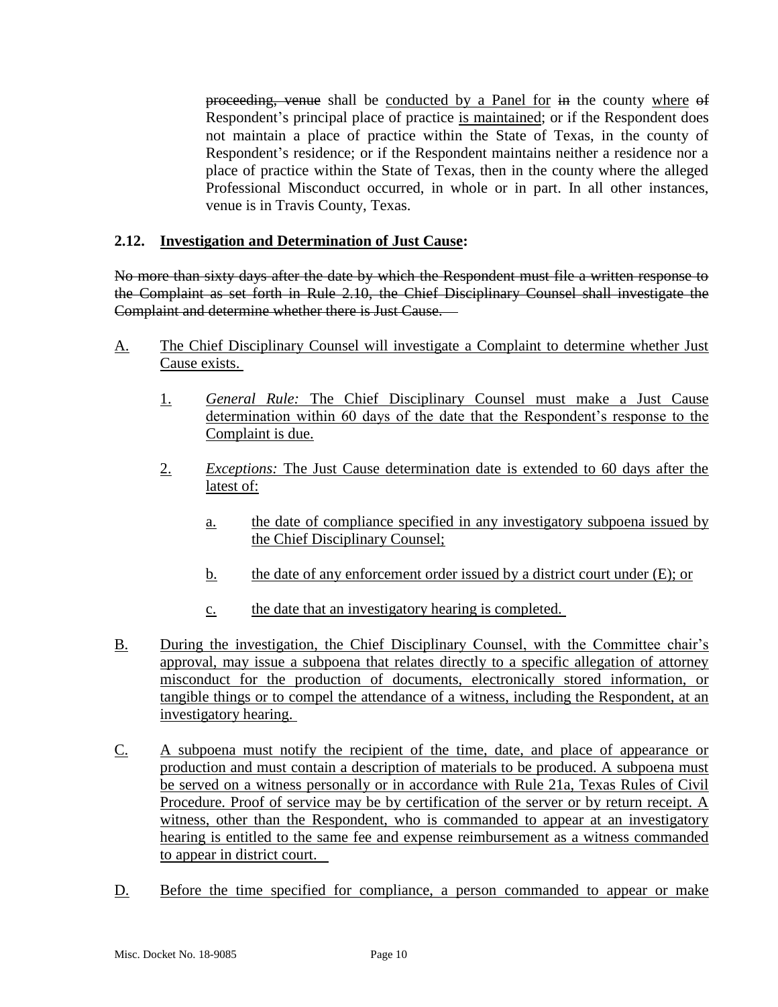proceeding, venue shall be conducted by a Panel for in the county where of Respondent's principal place of practice is maintained; or if the Respondent does not maintain a place of practice within the State of Texas, in the county of Respondent's residence; or if the Respondent maintains neither a residence nor a place of practice within the State of Texas, then in the county where the alleged Professional Misconduct occurred, in whole or in part. In all other instances, venue is in Travis County, Texas.

### **2.12. Investigation and Determination of Just Cause:**

No more than sixty days after the date by which the Respondent must file a written response to the Complaint as set forth in Rule 2.10, the Chief Disciplinary Counsel shall investigate the Complaint and determine whether there is Just Cause.

- A. The Chief Disciplinary Counsel will investigate a Complaint to determine whether Just Cause exists.
	- 1. *General Rule:* The Chief Disciplinary Counsel must make a Just Cause determination within 60 days of the date that the Respondent's response to the Complaint is due.
	- 2. *Exceptions:* The Just Cause determination date is extended to 60 days after the latest of:
		- a. the date of compliance specified in any investigatory subpoena issued by the Chief Disciplinary Counsel;
		- b. the date of any enforcement order issued by a district court under (E); or
		- c. the date that an investigatory hearing is completed.
- B. During the investigation, the Chief Disciplinary Counsel, with the Committee chair's approval, may issue a subpoena that relates directly to a specific allegation of attorney misconduct for the production of documents, electronically stored information, or tangible things or to compel the attendance of a witness, including the Respondent, at an investigatory hearing.
- C. A subpoena must notify the recipient of the time, date, and place of appearance or production and must contain a description of materials to be produced. A subpoena must be served on a witness personally or in accordance with Rule 21a, Texas Rules of Civil Procedure. Proof of service may be by certification of the server or by return receipt. A witness, other than the Respondent, who is commanded to appear at an investigatory hearing is entitled to the same fee and expense reimbursement as a witness commanded to appear in district court.
- D. Before the time specified for compliance, a person commanded to appear or make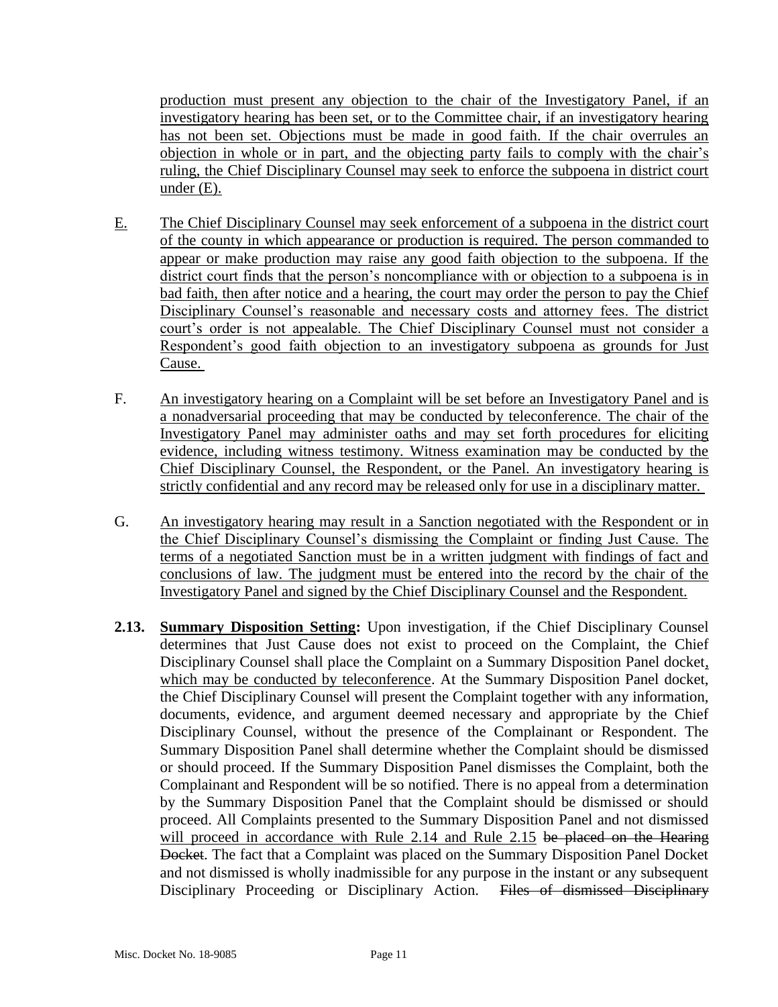production must present any objection to the chair of the Investigatory Panel, if an investigatory hearing has been set, or to the Committee chair, if an investigatory hearing has not been set. Objections must be made in good faith. If the chair overrules an objection in whole or in part, and the objecting party fails to comply with the chair's ruling, the Chief Disciplinary Counsel may seek to enforce the subpoena in district court under (E).

- E. The Chief Disciplinary Counsel may seek enforcement of a subpoena in the district court of the county in which appearance or production is required. The person commanded to appear or make production may raise any good faith objection to the subpoena. If the district court finds that the person's noncompliance with or objection to a subpoena is in bad faith, then after notice and a hearing, the court may order the person to pay the Chief Disciplinary Counsel's reasonable and necessary costs and attorney fees. The district court's order is not appealable. The Chief Disciplinary Counsel must not consider a Respondent's good faith objection to an investigatory subpoena as grounds for Just Cause.
- F. An investigatory hearing on a Complaint will be set before an Investigatory Panel and is a nonadversarial proceeding that may be conducted by teleconference. The chair of the Investigatory Panel may administer oaths and may set forth procedures for eliciting evidence, including witness testimony. Witness examination may be conducted by the Chief Disciplinary Counsel, the Respondent, or the Panel. An investigatory hearing is strictly confidential and any record may be released only for use in a disciplinary matter.
- G. An investigatory hearing may result in a Sanction negotiated with the Respondent or in the Chief Disciplinary Counsel's dismissing the Complaint or finding Just Cause. The terms of a negotiated Sanction must be in a written judgment with findings of fact and conclusions of law. The judgment must be entered into the record by the chair of the Investigatory Panel and signed by the Chief Disciplinary Counsel and the Respondent.
- **2.13. Summary Disposition Setting:** Upon investigation, if the Chief Disciplinary Counsel determines that Just Cause does not exist to proceed on the Complaint, the Chief Disciplinary Counsel shall place the Complaint on a Summary Disposition Panel docket, which may be conducted by teleconference. At the Summary Disposition Panel docket, the Chief Disciplinary Counsel will present the Complaint together with any information, documents, evidence, and argument deemed necessary and appropriate by the Chief Disciplinary Counsel, without the presence of the Complainant or Respondent. The Summary Disposition Panel shall determine whether the Complaint should be dismissed or should proceed. If the Summary Disposition Panel dismisses the Complaint, both the Complainant and Respondent will be so notified. There is no appeal from a determination by the Summary Disposition Panel that the Complaint should be dismissed or should proceed. All Complaints presented to the Summary Disposition Panel and not dismissed will proceed in accordance with Rule 2.14 and Rule 2.15 be placed on the Hearing Docket. The fact that a Complaint was placed on the Summary Disposition Panel Docket and not dismissed is wholly inadmissible for any purpose in the instant or any subsequent Disciplinary Proceeding or Disciplinary Action. Files of dismissed Disciplinary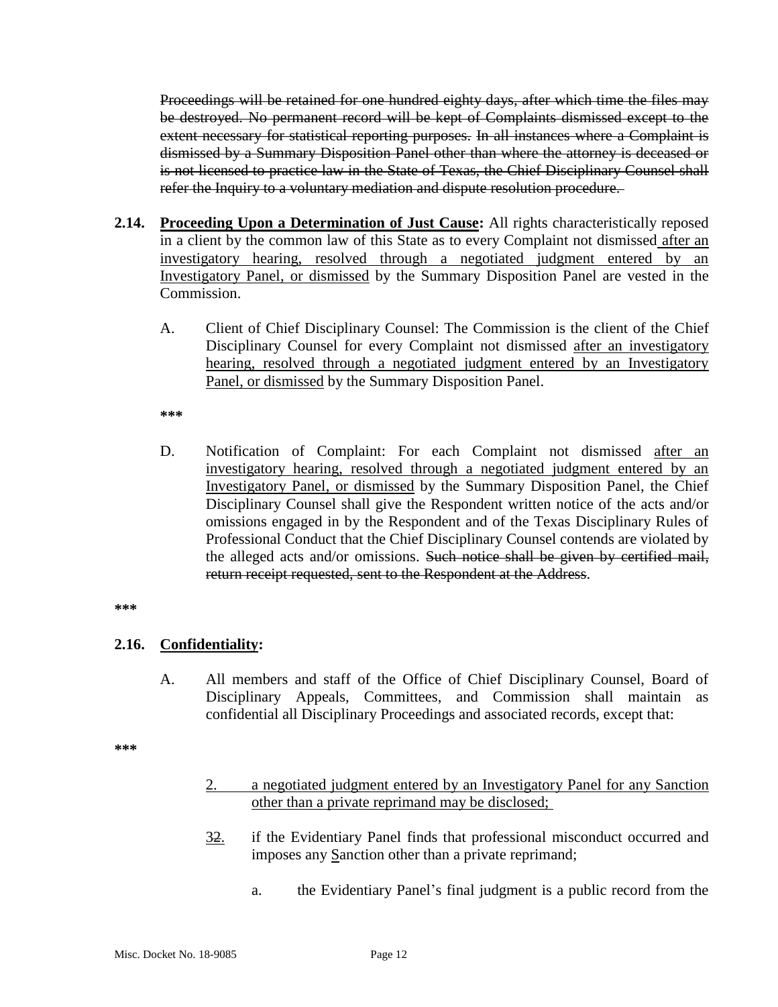Proceedings will be retained for one hundred eighty days, after which time the files may be destroyed. No permanent record will be kept of Complaints dismissed except to the extent necessary for statistical reporting purposes. In all instances where a Complaint is dismissed by a Summary Disposition Panel other than where the attorney is deceased or is not licensed to practice law in the State of Texas, the Chief Disciplinary Counsel shall refer the Inquiry to a voluntary mediation and dispute resolution procedure.

- **2.14. Proceeding Upon a Determination of Just Cause:** All rights characteristically reposed in a client by the common law of this State as to every Complaint not dismissed after an investigatory hearing, resolved through a negotiated judgment entered by an Investigatory Panel, or dismissed by the Summary Disposition Panel are vested in the Commission.
	- A. Client of Chief Disciplinary Counsel: The Commission is the client of the Chief Disciplinary Counsel for every Complaint not dismissed after an investigatory hearing, resolved through a negotiated judgment entered by an Investigatory Panel, or dismissed by the Summary Disposition Panel.

**\*\*\***

D. Notification of Complaint: For each Complaint not dismissed after an investigatory hearing, resolved through a negotiated judgment entered by an Investigatory Panel, or dismissed by the Summary Disposition Panel, the Chief Disciplinary Counsel shall give the Respondent written notice of the acts and/or omissions engaged in by the Respondent and of the Texas Disciplinary Rules of Professional Conduct that the Chief Disciplinary Counsel contends are violated by the alleged acts and/or omissions. Such notice shall be given by certified mail, return receipt requested, sent to the Respondent at the Address.

**\*\*\***

### **2.16. Confidentiality:**

A. All members and staff of the Office of Chief Disciplinary Counsel, Board of Disciplinary Appeals, Committees, and Commission shall maintain as confidential all Disciplinary Proceedings and associated records, except that:

**\*\*\***

- 2. a negotiated judgment entered by an Investigatory Panel for any Sanction other than a private reprimand may be disclosed;
- 32. if the Evidentiary Panel finds that professional misconduct occurred and imposes any Sanction other than a private reprimand;
	- a. the Evidentiary Panel's final judgment is a public record from the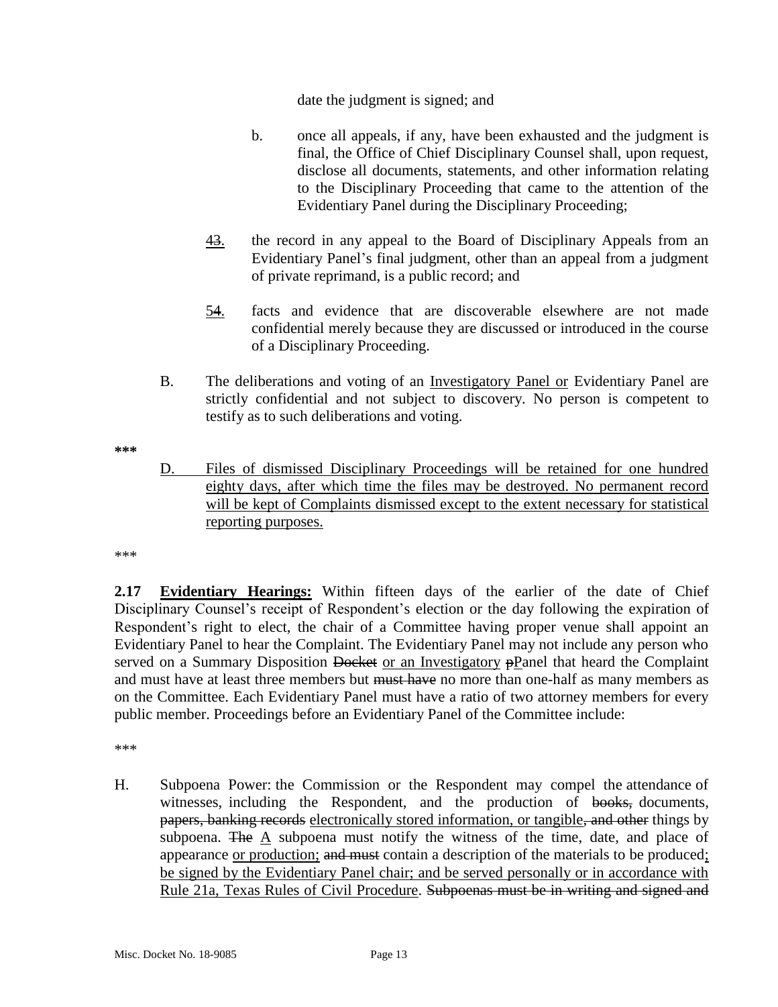date the judgment is signed; and

- b. once all appeals, if any, have been exhausted and the judgment is final, the Office of Chief Disciplinary Counsel shall, upon request, disclose all documents, statements, and other information relating to the Disciplinary Proceeding that came to the attention of the Evidentiary Panel during the Disciplinary Proceeding;
- 43. the record in any appeal to the Board of Disciplinary Appeals from an Evidentiary Panel's final judgment, other than an appeal from a judgment of private reprimand, is a public record; and
- 54. facts and evidence that are discoverable elsewhere are not made confidential merely because they are discussed or introduced in the course of a Disciplinary Proceeding.
- B. The deliberations and voting of an Investigatory Panel or Evidentiary Panel are strictly confidential and not subject to discovery. No person is competent to testify as to such deliberations and voting.

**\*\*\***

D. Files of dismissed Disciplinary Proceedings will be retained for one hundred eighty days, after which time the files may be destroyed. No permanent record will be kept of Complaints dismissed except to the extent necessary for statistical reporting purposes.

\*\*\*

**2.17 Evidentiary Hearings:** Within fifteen days of the earlier of the date of Chief Disciplinary Counsel's receipt of Respondent's election or the day following the expiration of Respondent's right to elect, the chair of a Committee having proper venue shall appoint an Evidentiary Panel to hear the Complaint. The Evidentiary Panel may not include any person who served on a Summary Disposition Docket or an Investigatory pPanel that heard the Complaint and must have at least three members but must have no more than one-half as many members as on the Committee. Each Evidentiary Panel must have a ratio of two attorney members for every public member. Proceedings before an Evidentiary Panel of the Committee include:

\*\*\*

H. Subpoena Power: the Commission or the Respondent may compel the attendance of witnesses, including the Respondent, and the production of books, documents, papers, banking records electronically stored information, or tangible, and other things by subpoena. The A subpoena must notify the witness of the time, date, and place of appearance or production; and must contain a description of the materials to be produced; be signed by the Evidentiary Panel chair; and be served personally or in accordance with Rule 21a, Texas Rules of Civil Procedure. Subpoenas must be in writing and signed and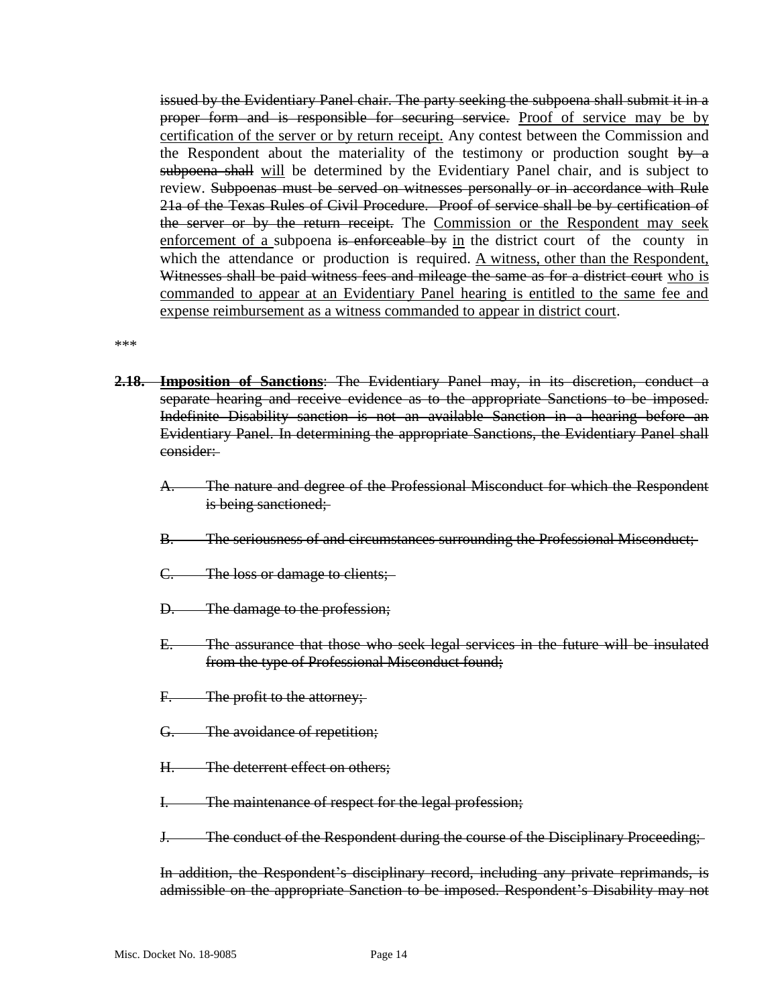issued by the Evidentiary Panel chair. The party seeking the subpoena shall submit it in a proper form and is responsible for securing service. Proof of service may be by certification of the server or by return receipt. Any contest between the Commission and the Respondent about the materiality of the testimony or production sought  $\frac{by}{y}$  a subpoena shall will be determined by the Evidentiary Panel chair, and is subject to review. Subpoenas must be served on witnesses personally or in accordance with Rule 21a of the Texas Rules of Civil Procedure. Proof of service shall be by certification of the server or by the return receipt. The Commission or the Respondent may seek enforcement of a subpoena is enforceable by in the district court of the county in which the attendance or production is required. A witness, other than the Respondent, Witnesses shall be paid witness fees and mileage the same as for a district court who is commanded to appear at an Evidentiary Panel hearing is entitled to the same fee and expense reimbursement as a witness commanded to appear in district court.

\*\*\*

- **2.18. Imposition of Sanctions**: The Evidentiary Panel may, in its discretion, conduct a separate hearing and receive evidence as to the appropriate Sanctions to be imposed. Indefinite Disability sanction is not an available Sanction in a hearing before an Evidentiary Panel. In determining the appropriate Sanctions, the Evidentiary Panel shall consider:
	- A. The nature and degree of the Professional Misconduct for which the Respondent is being sanctioned;
	- B. The seriousness of and circumstances surrounding the Professional Misconduct;
	- C. The loss or damage to clients;
	- D. The damage to the profession;
	- E. The assurance that those who seek legal services in the future will be insulated from the type of Professional Misconduct found;
	- F. The profit to the attorney;
	- G. The avoidance of repetition;
	- H. The deterrent effect on others;
	- I. The maintenance of respect for the legal profession;
	- J. The conduct of the Respondent during the course of the Disciplinary Proceeding;

In addition, the Respondent's disciplinary record, including any private reprimands, is admissible on the appropriate Sanction to be imposed. Respondent's Disability may not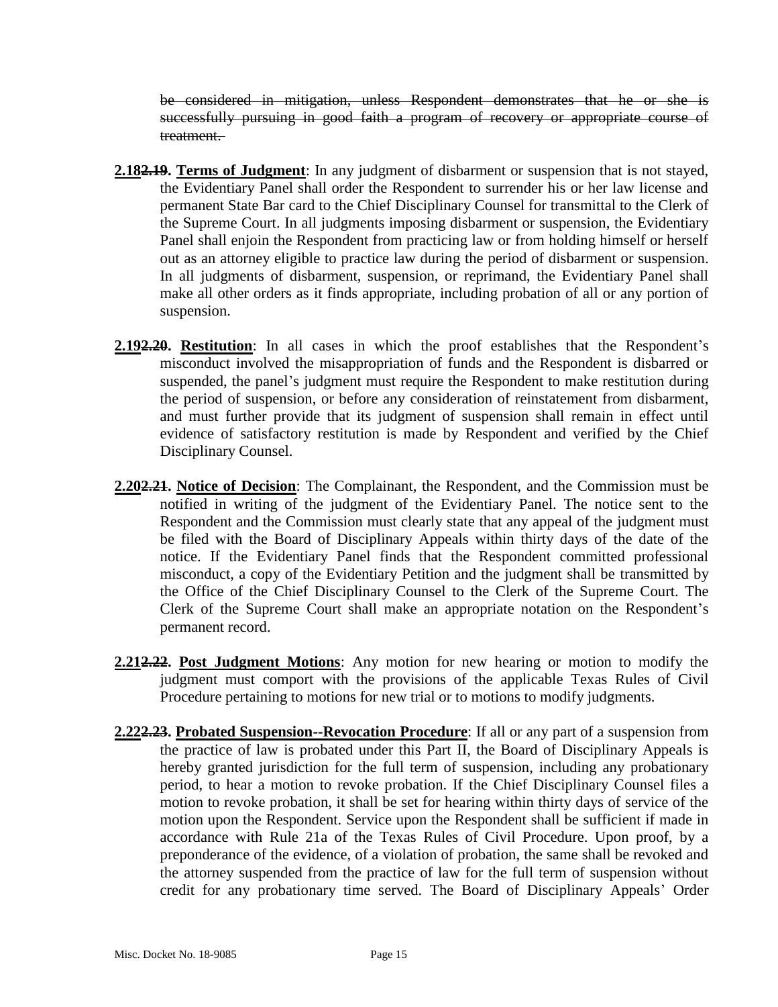be considered in mitigation, unless Respondent demonstrates that he or she is successfully pursuing in good faith a program of recovery or appropriate course of treatment.

- **2.182.19. Terms of Judgment**: In any judgment of disbarment or suspension that is not stayed, the Evidentiary Panel shall order the Respondent to surrender his or her law license and permanent State Bar card to the Chief Disciplinary Counsel for transmittal to the Clerk of the Supreme Court. In all judgments imposing disbarment or suspension, the Evidentiary Panel shall enjoin the Respondent from practicing law or from holding himself or herself out as an attorney eligible to practice law during the period of disbarment or suspension. In all judgments of disbarment, suspension, or reprimand, the Evidentiary Panel shall make all other orders as it finds appropriate, including probation of all or any portion of suspension.
- **2.192.20. Restitution**: In all cases in which the proof establishes that the Respondent's misconduct involved the misappropriation of funds and the Respondent is disbarred or suspended, the panel's judgment must require the Respondent to make restitution during the period of suspension, or before any consideration of reinstatement from disbarment, and must further provide that its judgment of suspension shall remain in effect until evidence of satisfactory restitution is made by Respondent and verified by the Chief Disciplinary Counsel.
- **2.202.21. Notice of Decision**: The Complainant, the Respondent, and the Commission must be notified in writing of the judgment of the Evidentiary Panel. The notice sent to the Respondent and the Commission must clearly state that any appeal of the judgment must be filed with the Board of Disciplinary Appeals within thirty days of the date of the notice. If the Evidentiary Panel finds that the Respondent committed professional misconduct, a copy of the Evidentiary Petition and the judgment shall be transmitted by the Office of the Chief Disciplinary Counsel to the Clerk of the Supreme Court. The Clerk of the Supreme Court shall make an appropriate notation on the Respondent's permanent record.
- **2.212.22. Post Judgment Motions**: Any motion for new hearing or motion to modify the judgment must comport with the provisions of the applicable Texas Rules of Civil Procedure pertaining to motions for new trial or to motions to modify judgments.
- **2.222.23. Probated Suspension--Revocation Procedure**: If all or any part of a suspension from the practice of law is probated under this Part II, the Board of Disciplinary Appeals is hereby granted jurisdiction for the full term of suspension, including any probationary period, to hear a motion to revoke probation. If the Chief Disciplinary Counsel files a motion to revoke probation, it shall be set for hearing within thirty days of service of the motion upon the Respondent. Service upon the Respondent shall be sufficient if made in accordance with Rule 21a of the Texas Rules of Civil Procedure. Upon proof, by a preponderance of the evidence, of a violation of probation, the same shall be revoked and the attorney suspended from the practice of law for the full term of suspension without credit for any probationary time served. The Board of Disciplinary Appeals' Order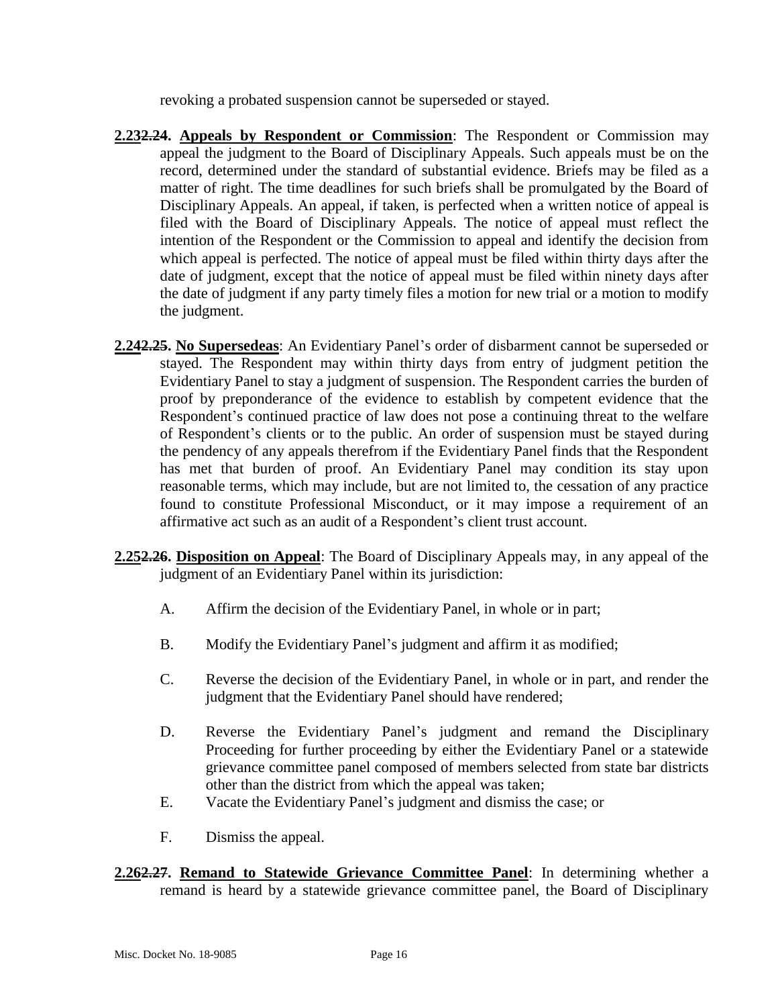revoking a probated suspension cannot be superseded or stayed.

- **2.232.24. Appeals by Respondent or Commission**: The Respondent or Commission may appeal the judgment to the Board of Disciplinary Appeals. Such appeals must be on the record, determined under the standard of substantial evidence. Briefs may be filed as a matter of right. The time deadlines for such briefs shall be promulgated by the Board of Disciplinary Appeals. An appeal, if taken, is perfected when a written notice of appeal is filed with the Board of Disciplinary Appeals. The notice of appeal must reflect the intention of the Respondent or the Commission to appeal and identify the decision from which appeal is perfected. The notice of appeal must be filed within thirty days after the date of judgment, except that the notice of appeal must be filed within ninety days after the date of judgment if any party timely files a motion for new trial or a motion to modify the judgment.
- **2.242.25. No Supersedeas**: An Evidentiary Panel's order of disbarment cannot be superseded or stayed. The Respondent may within thirty days from entry of judgment petition the Evidentiary Panel to stay a judgment of suspension. The Respondent carries the burden of proof by preponderance of the evidence to establish by competent evidence that the Respondent's continued practice of law does not pose a continuing threat to the welfare of Respondent's clients or to the public. An order of suspension must be stayed during the pendency of any appeals therefrom if the Evidentiary Panel finds that the Respondent has met that burden of proof. An Evidentiary Panel may condition its stay upon reasonable terms, which may include, but are not limited to, the cessation of any practice found to constitute Professional Misconduct, or it may impose a requirement of an affirmative act such as an audit of a Respondent's client trust account.
- **2.252.26. Disposition on Appeal**: The Board of Disciplinary Appeals may, in any appeal of the judgment of an Evidentiary Panel within its jurisdiction:
	- A. Affirm the decision of the Evidentiary Panel, in whole or in part;
	- B. Modify the Evidentiary Panel's judgment and affirm it as modified;
	- C. Reverse the decision of the Evidentiary Panel, in whole or in part, and render the judgment that the Evidentiary Panel should have rendered;
	- D. Reverse the Evidentiary Panel's judgment and remand the Disciplinary Proceeding for further proceeding by either the Evidentiary Panel or a statewide grievance committee panel composed of members selected from state bar districts other than the district from which the appeal was taken;
	- E. Vacate the Evidentiary Panel's judgment and dismiss the case; or
	- F. Dismiss the appeal.
- **2.262.27. Remand to Statewide Grievance Committee Panel**: In determining whether a remand is heard by a statewide grievance committee panel, the Board of Disciplinary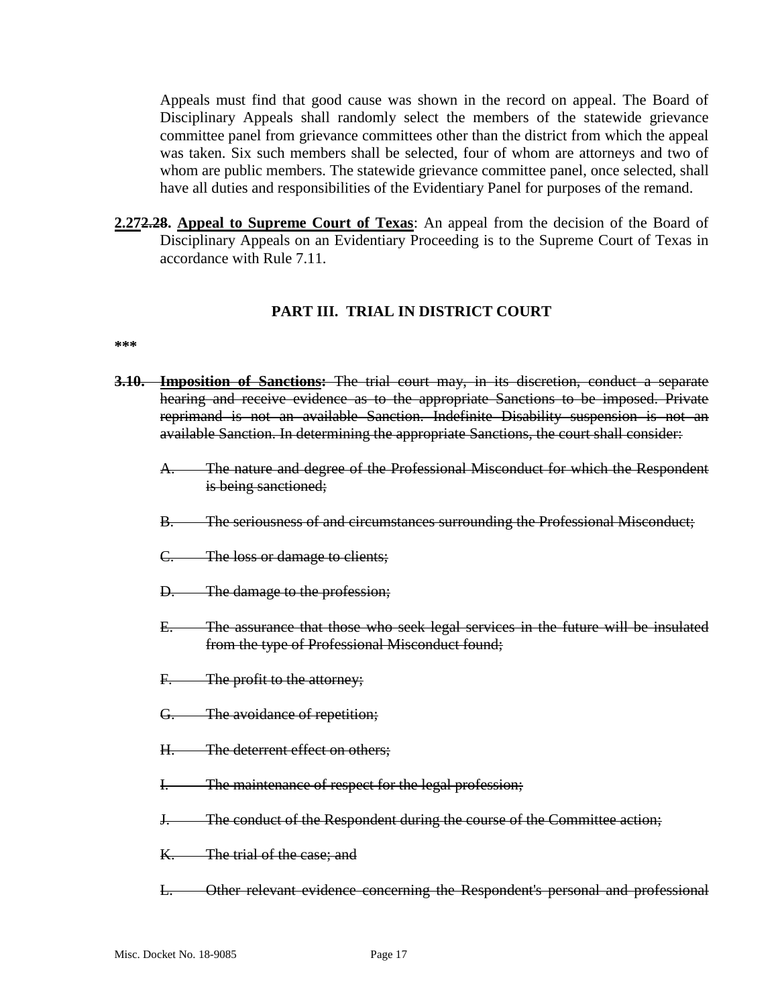Appeals must find that good cause was shown in the record on appeal. The Board of Disciplinary Appeals shall randomly select the members of the statewide grievance committee panel from grievance committees other than the district from which the appeal was taken. Six such members shall be selected, four of whom are attorneys and two of whom are public members. The statewide grievance committee panel, once selected, shall have all duties and responsibilities of the Evidentiary Panel for purposes of the remand.

**2.272.28. Appeal to Supreme Court of Texas**: An appeal from the decision of the Board of Disciplinary Appeals on an Evidentiary Proceeding is to the Supreme Court of Texas in accordance with Rule 7.11.

### **PART III. TRIAL IN DISTRICT COURT**

#### **\*\*\***

- **3.10. Imposition of Sanctions:** The trial court may, in its discretion, conduct a separate hearing and receive evidence as to the appropriate Sanctions to be imposed. Private reprimand is not an available Sanction. Indefinite Disability suspension is not an available Sanction. In determining the appropriate Sanctions, the court shall consider:
	- The nature and degree of the Professional Misconduct for which the Respondent is being sanctioned;
	- B. The seriousness of and circumstances surrounding the Professional Misconduct;
	- C. The loss or damage to clients;
	- D. The damage to the profession;
	- E. The assurance that those who seek legal services in the future will be insulated from the type of Professional Misconduct found;
	- F. The profit to the attorney;
	- G. The avoidance of repetition;
	- H. The deterrent effect on others;
	- I. The maintenance of respect for the legal profession;
	- J. The conduct of the Respondent during the course of the Committee action;
	- K. The trial of the case; and
	- L. Other relevant evidence concerning the Respondent's personal and professional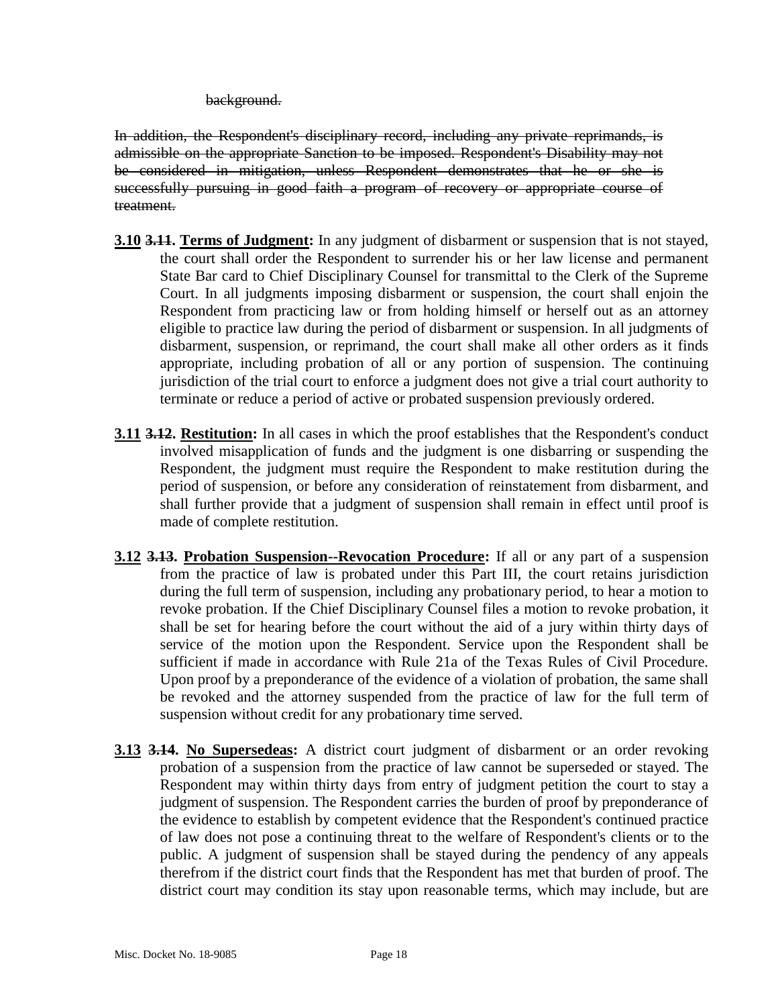background.

In addition, the Respondent's disciplinary record, including any private reprimands, is admissible on the appropriate Sanction to be imposed. Respondent's Disability may not be considered in mitigation, unless Respondent demonstrates that he or she is successfully pursuing in good faith a program of recovery or appropriate course of treatment.

- **3.10 3.11. Terms of Judgment:** In any judgment of disbarment or suspension that is not stayed, the court shall order the Respondent to surrender his or her law license and permanent State Bar card to Chief Disciplinary Counsel for transmittal to the Clerk of the Supreme Court. In all judgments imposing disbarment or suspension, the court shall enjoin the Respondent from practicing law or from holding himself or herself out as an attorney eligible to practice law during the period of disbarment or suspension. In all judgments of disbarment, suspension, or reprimand, the court shall make all other orders as it finds appropriate, including probation of all or any portion of suspension. The continuing jurisdiction of the trial court to enforce a judgment does not give a trial court authority to terminate or reduce a period of active or probated suspension previously ordered.
- **3.11 3.12. Restitution:** In all cases in which the proof establishes that the Respondent's conduct involved misapplication of funds and the judgment is one disbarring or suspending the Respondent, the judgment must require the Respondent to make restitution during the period of suspension, or before any consideration of reinstatement from disbarment, and shall further provide that a judgment of suspension shall remain in effect until proof is made of complete restitution.
- **3.12 3.13. Probation Suspension--Revocation Procedure:** If all or any part of a suspension from the practice of law is probated under this Part III, the court retains jurisdiction during the full term of suspension, including any probationary period, to hear a motion to revoke probation. If the Chief Disciplinary Counsel files a motion to revoke probation, it shall be set for hearing before the court without the aid of a jury within thirty days of service of the motion upon the Respondent. Service upon the Respondent shall be sufficient if made in accordance with Rule 21a of the Texas Rules of Civil Procedure. Upon proof by a preponderance of the evidence of a violation of probation, the same shall be revoked and the attorney suspended from the practice of law for the full term of suspension without credit for any probationary time served.
- **3.13 3.14. No Supersedeas:** A district court judgment of disbarment or an order revoking probation of a suspension from the practice of law cannot be superseded or stayed. The Respondent may within thirty days from entry of judgment petition the court to stay a judgment of suspension. The Respondent carries the burden of proof by preponderance of the evidence to establish by competent evidence that the Respondent's continued practice of law does not pose a continuing threat to the welfare of Respondent's clients or to the public. A judgment of suspension shall be stayed during the pendency of any appeals therefrom if the district court finds that the Respondent has met that burden of proof. The district court may condition its stay upon reasonable terms, which may include, but are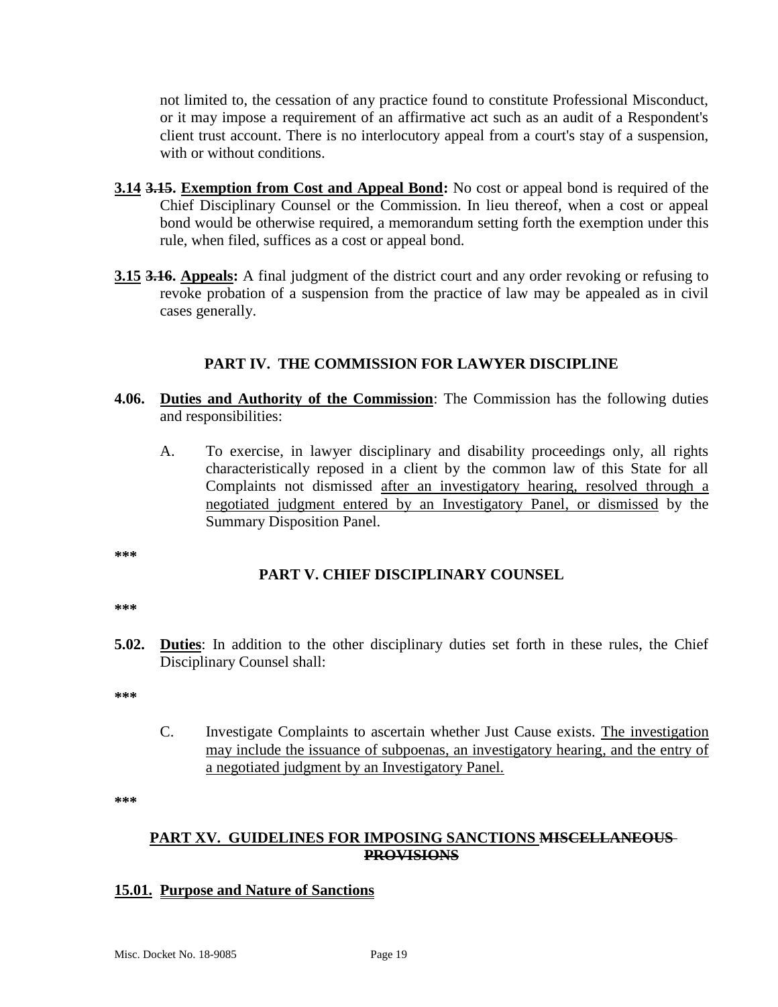not limited to, the cessation of any practice found to constitute Professional Misconduct, or it may impose a requirement of an affirmative act such as an audit of a Respondent's client trust account. There is no interlocutory appeal from a court's stay of a suspension, with or without conditions.

- **3.14 3.15. Exemption from Cost and Appeal Bond:** No cost or appeal bond is required of the Chief Disciplinary Counsel or the Commission. In lieu thereof, when a cost or appeal bond would be otherwise required, a memorandum setting forth the exemption under this rule, when filed, suffices as a cost or appeal bond.
- **3.15 3.16. Appeals:** A final judgment of the district court and any order revoking or refusing to revoke probation of a suspension from the practice of law may be appealed as in civil cases generally.

### **PART IV. THE COMMISSION FOR LAWYER DISCIPLINE**

- **4.06. Duties and Authority of the Commission**: The Commission has the following duties and responsibilities:
	- A. To exercise, in lawyer disciplinary and disability proceedings only, all rights characteristically reposed in a client by the common law of this State for all Complaints not dismissed after an investigatory hearing, resolved through a negotiated judgment entered by an Investigatory Panel, or dismissed by the Summary Disposition Panel.

**\*\*\***

### **PART V. CHIEF DISCIPLINARY COUNSEL**

**\*\*\***

**5.02. Duties**: In addition to the other disciplinary duties set forth in these rules, the Chief Disciplinary Counsel shall:

**\*\*\***

C. Investigate Complaints to ascertain whether Just Cause exists. The investigation may include the issuance of subpoenas, an investigatory hearing, and the entry of a negotiated judgment by an Investigatory Panel.

**\*\*\***

### **PART XV. GUIDELINES FOR IMPOSING SANCTIONS MISCELLANEOUS PROVISIONS**

#### **15.01. Purpose and Nature of Sanctions**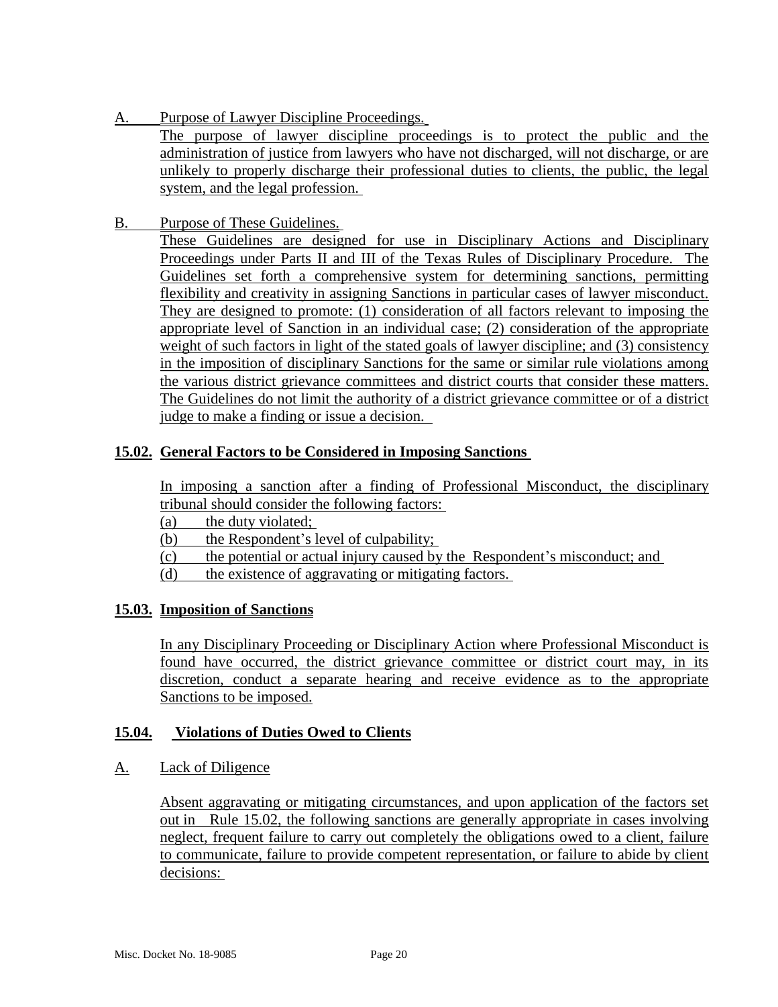A. Purpose of Lawyer Discipline Proceedings.

The purpose of lawyer discipline proceedings is to protect the public and the administration of justice from lawyers who have not discharged, will not discharge, or are unlikely to properly discharge their professional duties to clients, the public, the legal system, and the legal profession.

B. Purpose of These Guidelines.

These Guidelines are designed for use in Disciplinary Actions and Disciplinary Proceedings under Parts II and III of the Texas Rules of Disciplinary Procedure. The Guidelines set forth a comprehensive system for determining sanctions, permitting flexibility and creativity in assigning Sanctions in particular cases of lawyer misconduct. They are designed to promote: (1) consideration of all factors relevant to imposing the appropriate level of Sanction in an individual case; (2) consideration of the appropriate weight of such factors in light of the stated goals of lawyer discipline; and (3) consistency in the imposition of disciplinary Sanctions for the same or similar rule violations among the various district grievance committees and district courts that consider these matters. The Guidelines do not limit the authority of a district grievance committee or of a district judge to make a finding or issue a decision.

#### **15.02. General Factors to be Considered in Imposing Sanctions**

In imposing a sanction after a finding of Professional Misconduct, the disciplinary tribunal should consider the following factors:

(a) the duty violated;

(b) the Respondent's level of culpability;

- (c) the potential or actual injury caused by the Respondent's misconduct; and
- (d) the existence of aggravating or mitigating factors.

#### **15.03. Imposition of Sanctions**

In any Disciplinary Proceeding or Disciplinary Action where Professional Misconduct is found have occurred, the district grievance committee or district court may, in its discretion, conduct a separate hearing and receive evidence as to the appropriate Sanctions to be imposed.

#### **15.04. Violations of Duties Owed to Clients**

#### A. Lack of Diligence

Absent aggravating or mitigating circumstances, and upon application of the factors set out in Rule 15.02, the following sanctions are generally appropriate in cases involving neglect, frequent failure to carry out completely the obligations owed to a client, failure to communicate, failure to provide competent representation, or failure to abide by client decisions: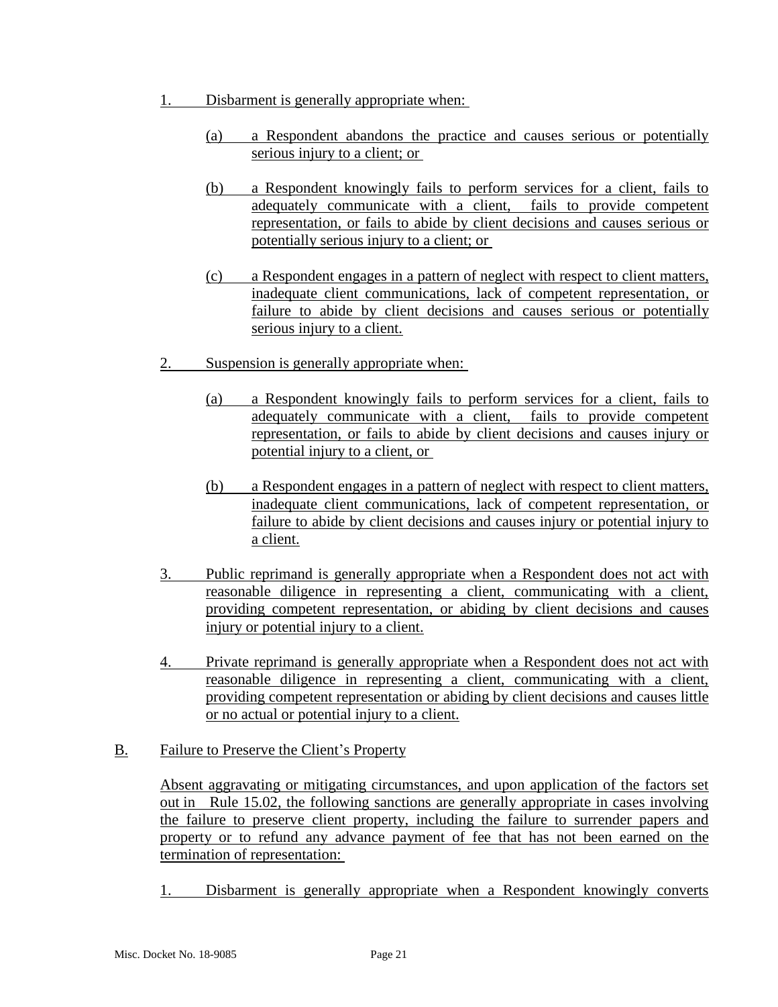- 1. Disbarment is generally appropriate when:
	- (a) a Respondent abandons the practice and causes serious or potentially serious injury to a client; or
	- (b) a Respondent knowingly fails to perform services for a client, fails to adequately communicate with a client, fails to provide competent representation, or fails to abide by client decisions and causes serious or potentially serious injury to a client; or
	- (c) a Respondent engages in a pattern of neglect with respect to client matters, inadequate client communications, lack of competent representation, or failure to abide by client decisions and causes serious or potentially serious injury to a client.
- 2. Suspension is generally appropriate when:
	- (a) a Respondent knowingly fails to perform services for a client, fails to adequately communicate with a client, fails to provide competent representation, or fails to abide by client decisions and causes injury or potential injury to a client, or
	- (b) a Respondent engages in a pattern of neglect with respect to client matters, inadequate client communications, lack of competent representation, or failure to abide by client decisions and causes injury or potential injury to a client.
- 3. Public reprimand is generally appropriate when a Respondent does not act with reasonable diligence in representing a client, communicating with a client, providing competent representation, or abiding by client decisions and causes injury or potential injury to a client.
- 4. Private reprimand is generally appropriate when a Respondent does not act with reasonable diligence in representing a client, communicating with a client, providing competent representation or abiding by client decisions and causes little or no actual or potential injury to a client.
- B. Failure to Preserve the Client's Property

Absent aggravating or mitigating circumstances, and upon application of the factors set out in Rule 15.02, the following sanctions are generally appropriate in cases involving the failure to preserve client property, including the failure to surrender papers and property or to refund any advance payment of fee that has not been earned on the termination of representation:

1. Disbarment is generally appropriate when a Respondent knowingly converts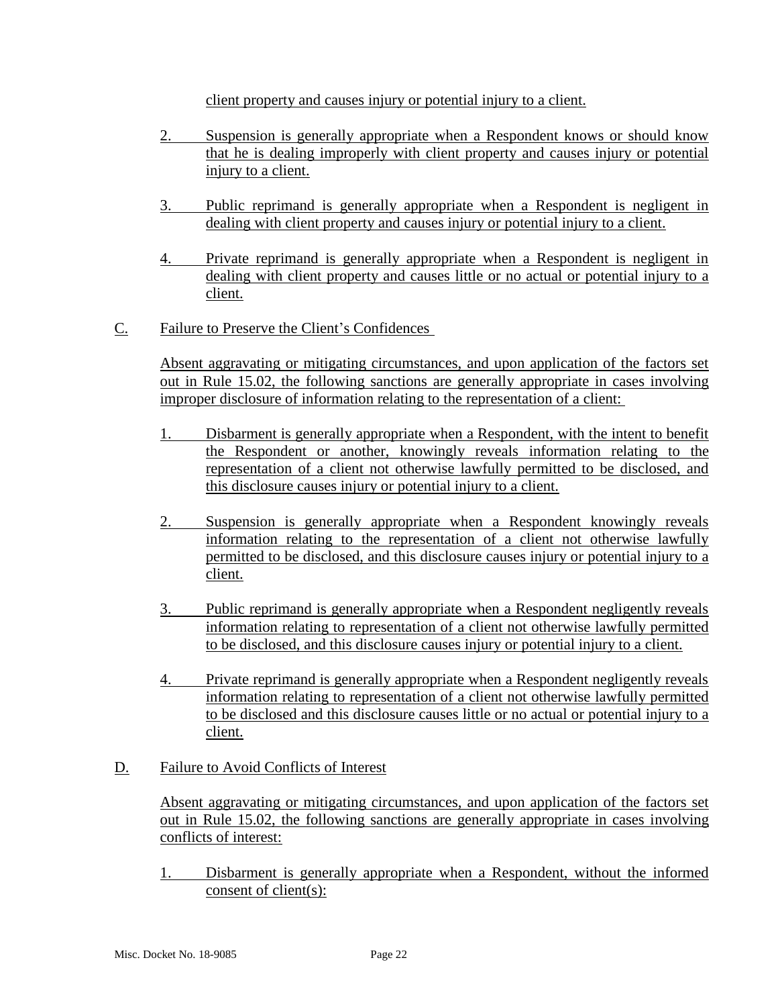client property and causes injury or potential injury to a client.

- 2. Suspension is generally appropriate when a Respondent knows or should know that he is dealing improperly with client property and causes injury or potential injury to a client.
- 3. Public reprimand is generally appropriate when a Respondent is negligent in dealing with client property and causes injury or potential injury to a client.
- 4. Private reprimand is generally appropriate when a Respondent is negligent in dealing with client property and causes little or no actual or potential injury to a client.
- C. Failure to Preserve the Client's Confidences

Absent aggravating or mitigating circumstances, and upon application of the factors set out in Rule 15.02, the following sanctions are generally appropriate in cases involving improper disclosure of information relating to the representation of a client:

- 1. Disbarment is generally appropriate when a Respondent, with the intent to benefit the Respondent or another, knowingly reveals information relating to the representation of a client not otherwise lawfully permitted to be disclosed, and this disclosure causes injury or potential injury to a client.
- 2. Suspension is generally appropriate when a Respondent knowingly reveals information relating to the representation of a client not otherwise lawfully permitted to be disclosed, and this disclosure causes injury or potential injury to a client.
- 3. Public reprimand is generally appropriate when a Respondent negligently reveals information relating to representation of a client not otherwise lawfully permitted to be disclosed, and this disclosure causes injury or potential injury to a client.
- 4. Private reprimand is generally appropriate when a Respondent negligently reveals information relating to representation of a client not otherwise lawfully permitted to be disclosed and this disclosure causes little or no actual or potential injury to a client.
- D. Failure to Avoid Conflicts of Interest

Absent aggravating or mitigating circumstances, and upon application of the factors set out in Rule 15.02, the following sanctions are generally appropriate in cases involving conflicts of interest:

1. Disbarment is generally appropriate when a Respondent, without the informed consent of client(s):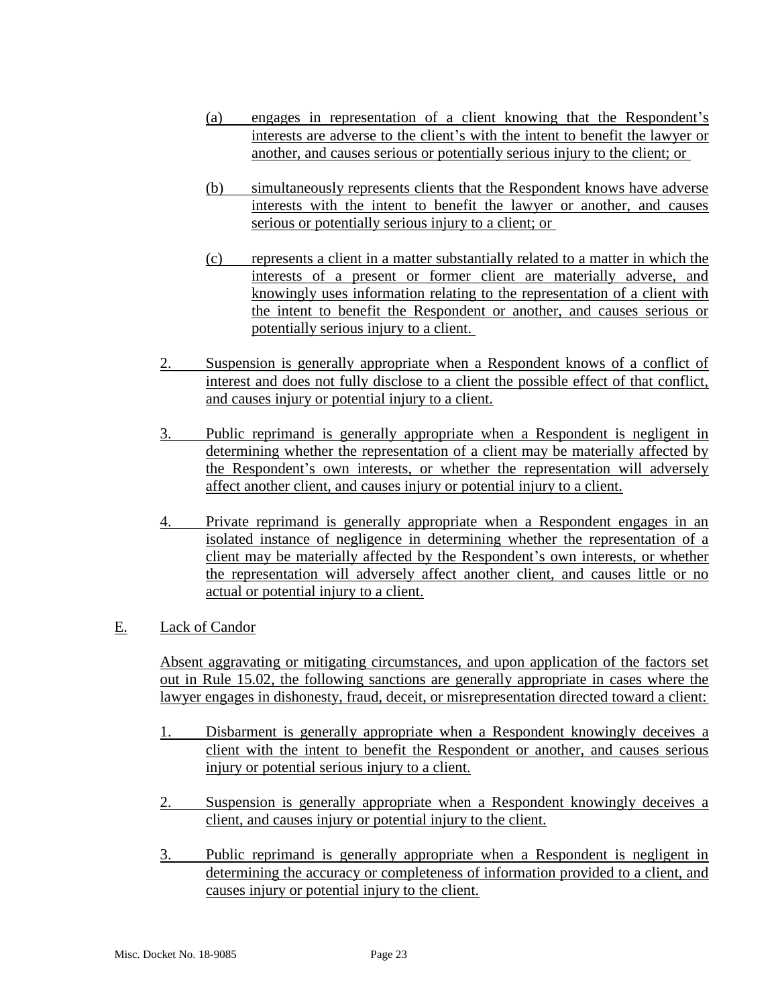- (a) engages in representation of a client knowing that the Respondent's interests are adverse to the client's with the intent to benefit the lawyer or another, and causes serious or potentially serious injury to the client; or
- (b) simultaneously represents clients that the Respondent knows have adverse interests with the intent to benefit the lawyer or another, and causes serious or potentially serious injury to a client; or
- (c) represents a client in a matter substantially related to a matter in which the interests of a present or former client are materially adverse, and knowingly uses information relating to the representation of a client with the intent to benefit the Respondent or another, and causes serious or potentially serious injury to a client.
- 2. Suspension is generally appropriate when a Respondent knows of a conflict of interest and does not fully disclose to a client the possible effect of that conflict, and causes injury or potential injury to a client.
- 3. Public reprimand is generally appropriate when a Respondent is negligent in determining whether the representation of a client may be materially affected by the Respondent's own interests, or whether the representation will adversely affect another client, and causes injury or potential injury to a client.
- 4. Private reprimand is generally appropriate when a Respondent engages in an isolated instance of negligence in determining whether the representation of a client may be materially affected by the Respondent's own interests, or whether the representation will adversely affect another client, and causes little or no actual or potential injury to a client.

### E. Lack of Candor

Absent aggravating or mitigating circumstances, and upon application of the factors set out in Rule 15.02, the following sanctions are generally appropriate in cases where the lawyer engages in dishonesty, fraud, deceit, or misrepresentation directed toward a client:

- 1. Disbarment is generally appropriate when a Respondent knowingly deceives a client with the intent to benefit the Respondent or another, and causes serious injury or potential serious injury to a client.
- 2. Suspension is generally appropriate when a Respondent knowingly deceives a client, and causes injury or potential injury to the client.
- 3. Public reprimand is generally appropriate when a Respondent is negligent in determining the accuracy or completeness of information provided to a client, and causes injury or potential injury to the client.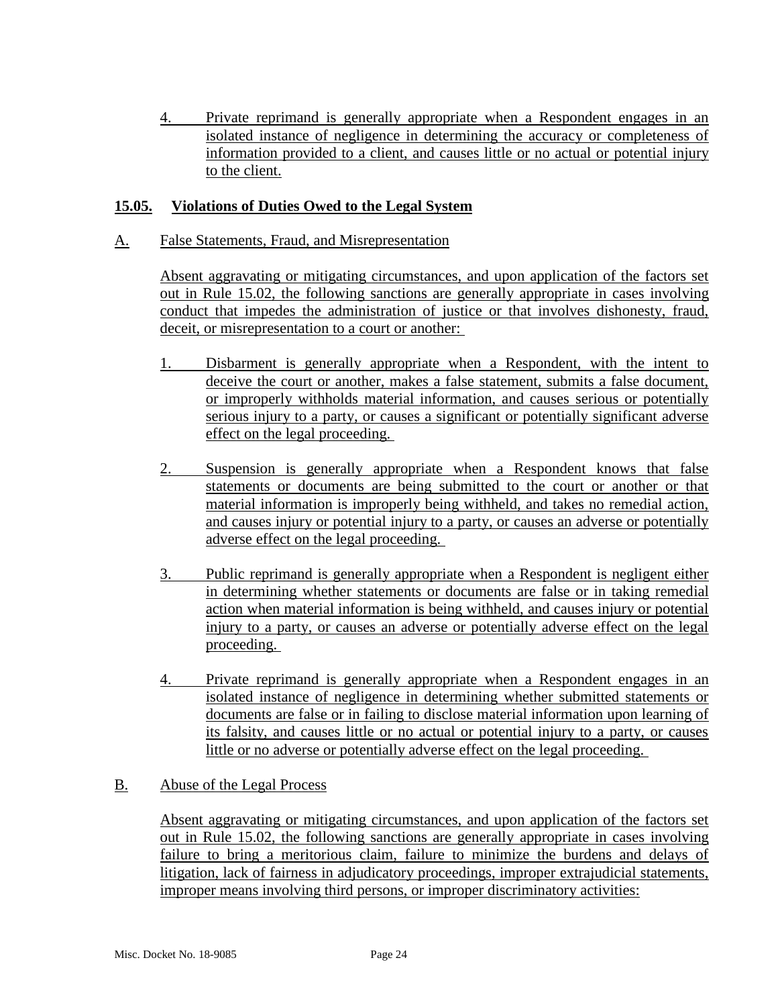4. Private reprimand is generally appropriate when a Respondent engages in an isolated instance of negligence in determining the accuracy or completeness of information provided to a client, and causes little or no actual or potential injury to the client.

### **15.05. Violations of Duties Owed to the Legal System**

A. False Statements, Fraud, and Misrepresentation

Absent aggravating or mitigating circumstances, and upon application of the factors set out in Rule 15.02, the following sanctions are generally appropriate in cases involving conduct that impedes the administration of justice or that involves dishonesty, fraud, deceit, or misrepresentation to a court or another:

- 1. Disbarment is generally appropriate when a Respondent, with the intent to deceive the court or another, makes a false statement, submits a false document, or improperly withholds material information, and causes serious or potentially serious injury to a party, or causes a significant or potentially significant adverse effect on the legal proceeding.
- 2. Suspension is generally appropriate when a Respondent knows that false statements or documents are being submitted to the court or another or that material information is improperly being withheld, and takes no remedial action, and causes injury or potential injury to a party, or causes an adverse or potentially adverse effect on the legal proceeding.
- 3. Public reprimand is generally appropriate when a Respondent is negligent either in determining whether statements or documents are false or in taking remedial action when material information is being withheld, and causes injury or potential injury to a party, or causes an adverse or potentially adverse effect on the legal proceeding.
- 4. Private reprimand is generally appropriate when a Respondent engages in an isolated instance of negligence in determining whether submitted statements or documents are false or in failing to disclose material information upon learning of its falsity, and causes little or no actual or potential injury to a party, or causes little or no adverse or potentially adverse effect on the legal proceeding.

#### B. Abuse of the Legal Process

Absent aggravating or mitigating circumstances, and upon application of the factors set out in Rule 15.02, the following sanctions are generally appropriate in cases involving failure to bring a meritorious claim, failure to minimize the burdens and delays of litigation, lack of fairness in adjudicatory proceedings, improper extrajudicial statements, improper means involving third persons, or improper discriminatory activities: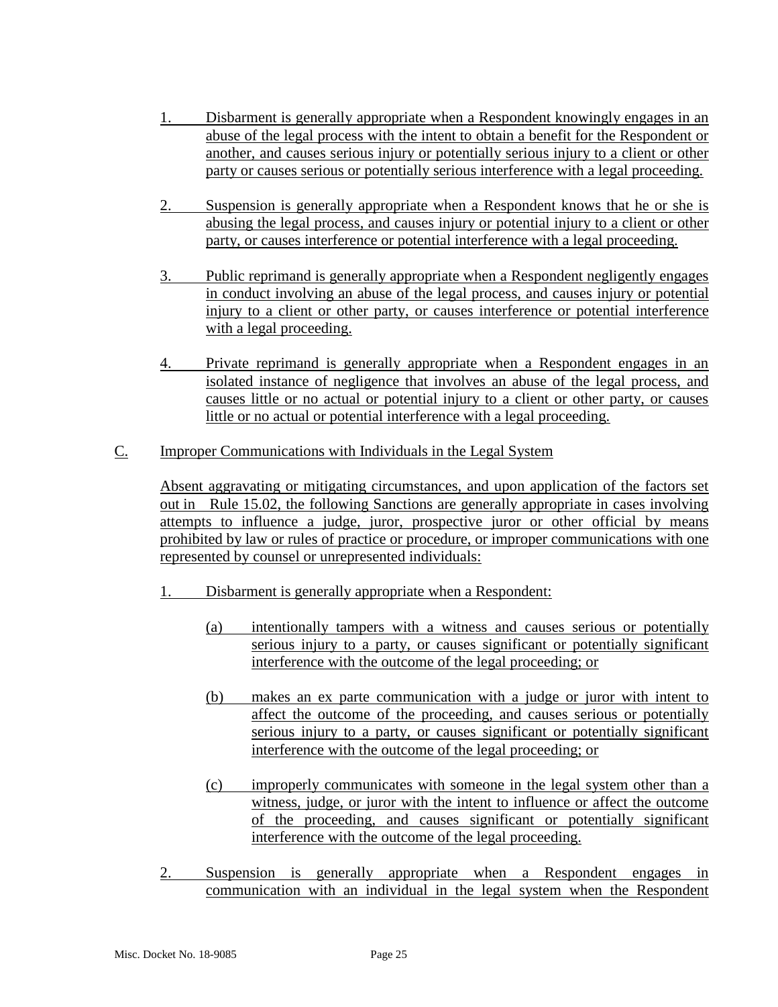- 1. Disbarment is generally appropriate when a Respondent knowingly engages in an abuse of the legal process with the intent to obtain a benefit for the Respondent or another, and causes serious injury or potentially serious injury to a client or other party or causes serious or potentially serious interference with a legal proceeding.
- 2. Suspension is generally appropriate when a Respondent knows that he or she is abusing the legal process, and causes injury or potential injury to a client or other party, or causes interference or potential interference with a legal proceeding.
- 3. Public reprimand is generally appropriate when a Respondent negligently engages in conduct involving an abuse of the legal process, and causes injury or potential injury to a client or other party, or causes interference or potential interference with a legal proceeding.
- 4. Private reprimand is generally appropriate when a Respondent engages in an isolated instance of negligence that involves an abuse of the legal process, and causes little or no actual or potential injury to a client or other party, or causes little or no actual or potential interference with a legal proceeding.
- C. Improper Communications with Individuals in the Legal System

Absent aggravating or mitigating circumstances, and upon application of the factors set out in Rule 15.02, the following Sanctions are generally appropriate in cases involving attempts to influence a judge, juror, prospective juror or other official by means prohibited by law or rules of practice or procedure, or improper communications with one represented by counsel or unrepresented individuals:

- 1. Disbarment is generally appropriate when a Respondent:
	- (a) intentionally tampers with a witness and causes serious or potentially serious injury to a party, or causes significant or potentially significant interference with the outcome of the legal proceeding; or
	- (b) makes an ex parte communication with a judge or juror with intent to affect the outcome of the proceeding, and causes serious or potentially serious injury to a party, or causes significant or potentially significant interference with the outcome of the legal proceeding; or
	- (c) improperly communicates with someone in the legal system other than a witness, judge, or juror with the intent to influence or affect the outcome of the proceeding, and causes significant or potentially significant interference with the outcome of the legal proceeding.
- 2. Suspension is generally appropriate when a Respondent engages in communication with an individual in the legal system when the Respondent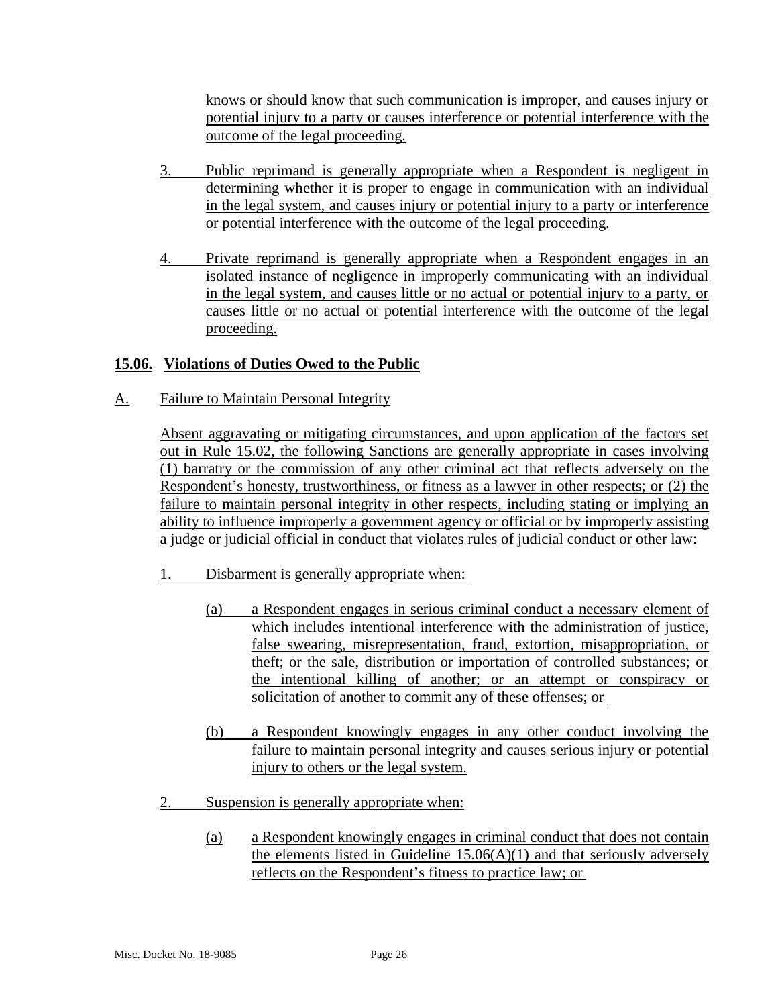knows or should know that such communication is improper, and causes injury or potential injury to a party or causes interference or potential interference with the outcome of the legal proceeding.

- 3. Public reprimand is generally appropriate when a Respondent is negligent in determining whether it is proper to engage in communication with an individual in the legal system, and causes injury or potential injury to a party or interference or potential interference with the outcome of the legal proceeding.
- 4. Private reprimand is generally appropriate when a Respondent engages in an isolated instance of negligence in improperly communicating with an individual in the legal system, and causes little or no actual or potential injury to a party, or causes little or no actual or potential interference with the outcome of the legal proceeding.

### **15.06. Violations of Duties Owed to the Public**

A. Failure to Maintain Personal Integrity

Absent aggravating or mitigating circumstances, and upon application of the factors set out in Rule 15.02, the following Sanctions are generally appropriate in cases involving (1) barratry or the commission of any other criminal act that reflects adversely on the Respondent's honesty, trustworthiness, or fitness as a lawyer in other respects; or (2) the failure to maintain personal integrity in other respects, including stating or implying an ability to influence improperly a government agency or official or by improperly assisting a judge or judicial official in conduct that violates rules of judicial conduct or other law:

- 1. Disbarment is generally appropriate when:
	- (a) a Respondent engages in serious criminal conduct a necessary element of which includes intentional interference with the administration of justice, false swearing, misrepresentation, fraud, extortion, misappropriation, or theft; or the sale, distribution or importation of controlled substances; or the intentional killing of another; or an attempt or conspiracy or solicitation of another to commit any of these offenses; or
	- (b) a Respondent knowingly engages in any other conduct involving the failure to maintain personal integrity and causes serious injury or potential injury to others or the legal system.
- 2. Suspension is generally appropriate when:
	- (a) a Respondent knowingly engages in criminal conduct that does not contain the elements listed in Guideline  $15.06(A)(1)$  and that seriously adversely reflects on the Respondent's fitness to practice law; or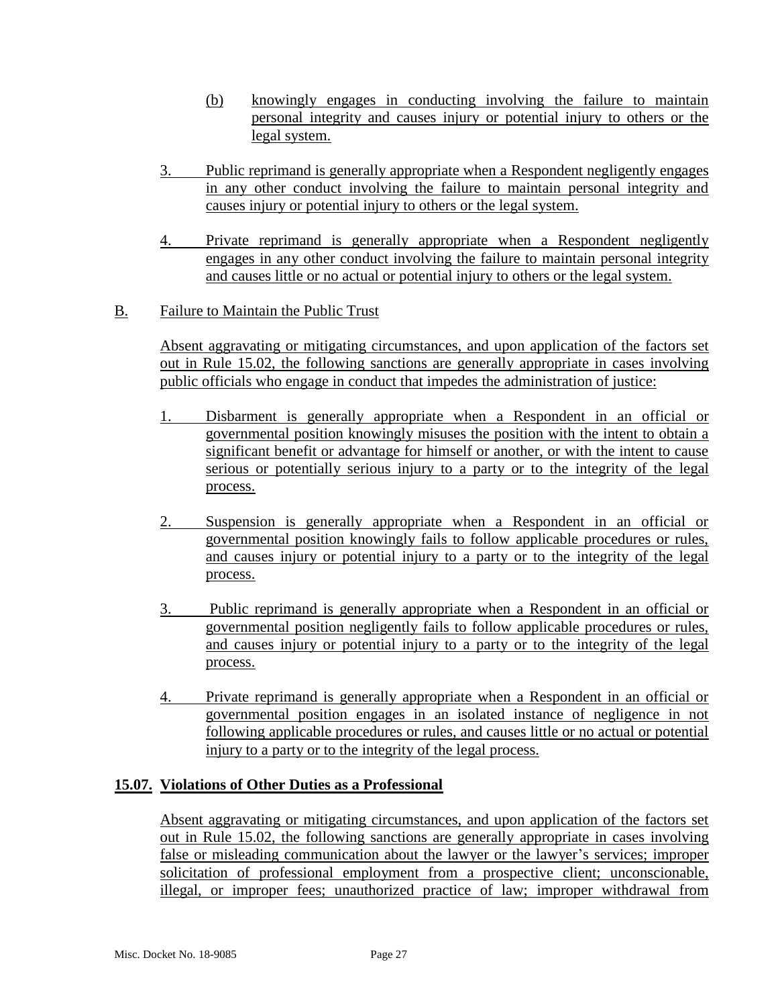- (b) knowingly engages in conducting involving the failure to maintain personal integrity and causes injury or potential injury to others or the legal system.
- 3. Public reprimand is generally appropriate when a Respondent negligently engages in any other conduct involving the failure to maintain personal integrity and causes injury or potential injury to others or the legal system.
- 4. Private reprimand is generally appropriate when a Respondent negligently engages in any other conduct involving the failure to maintain personal integrity and causes little or no actual or potential injury to others or the legal system.
- B. Failure to Maintain the Public Trust

Absent aggravating or mitigating circumstances, and upon application of the factors set out in Rule 15.02, the following sanctions are generally appropriate in cases involving public officials who engage in conduct that impedes the administration of justice:

- 1. Disbarment is generally appropriate when a Respondent in an official or governmental position knowingly misuses the position with the intent to obtain a significant benefit or advantage for himself or another, or with the intent to cause serious or potentially serious injury to a party or to the integrity of the legal process.
- 2. Suspension is generally appropriate when a Respondent in an official or governmental position knowingly fails to follow applicable procedures or rules, and causes injury or potential injury to a party or to the integrity of the legal process.
- 3. Public reprimand is generally appropriate when a Respondent in an official or governmental position negligently fails to follow applicable procedures or rules, and causes injury or potential injury to a party or to the integrity of the legal process.
- 4. Private reprimand is generally appropriate when a Respondent in an official or governmental position engages in an isolated instance of negligence in not following applicable procedures or rules, and causes little or no actual or potential injury to a party or to the integrity of the legal process.

#### **15.07. Violations of Other Duties as a Professional**

Absent aggravating or mitigating circumstances, and upon application of the factors set out in Rule 15.02, the following sanctions are generally appropriate in cases involving false or misleading communication about the lawyer or the lawyer's services; improper solicitation of professional employment from a prospective client; unconscionable, illegal, or improper fees; unauthorized practice of law; improper withdrawal from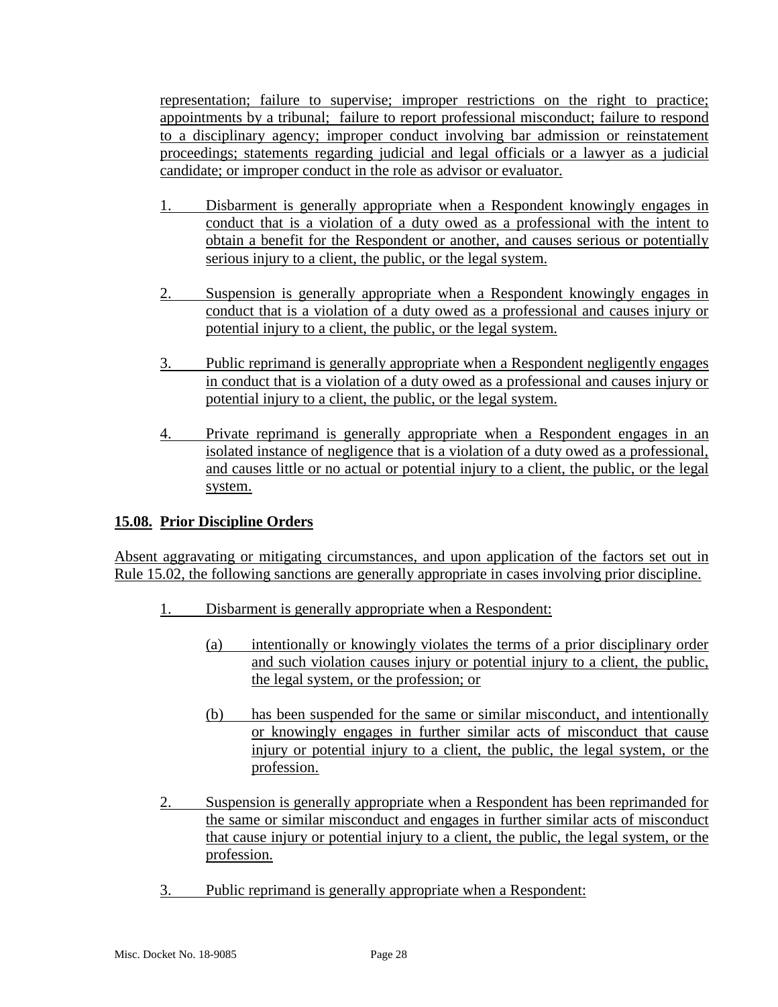representation; failure to supervise; improper restrictions on the right to practice; appointments by a tribunal; failure to report professional misconduct; failure to respond to a disciplinary agency; improper conduct involving bar admission or reinstatement proceedings; statements regarding judicial and legal officials or a lawyer as a judicial candidate; or improper conduct in the role as advisor or evaluator.

- 1. Disbarment is generally appropriate when a Respondent knowingly engages in conduct that is a violation of a duty owed as a professional with the intent to obtain a benefit for the Respondent or another, and causes serious or potentially serious injury to a client, the public, or the legal system.
- 2. Suspension is generally appropriate when a Respondent knowingly engages in conduct that is a violation of a duty owed as a professional and causes injury or potential injury to a client, the public, or the legal system.
- 3. Public reprimand is generally appropriate when a Respondent negligently engages in conduct that is a violation of a duty owed as a professional and causes injury or potential injury to a client, the public, or the legal system.
- 4. Private reprimand is generally appropriate when a Respondent engages in an isolated instance of negligence that is a violation of a duty owed as a professional, and causes little or no actual or potential injury to a client, the public, or the legal system.

### **15.08. Prior Discipline Orders**

Absent aggravating or mitigating circumstances, and upon application of the factors set out in Rule 15.02, the following sanctions are generally appropriate in cases involving prior discipline.

- 1. Disbarment is generally appropriate when a Respondent:
	- (a) intentionally or knowingly violates the terms of a prior disciplinary order and such violation causes injury or potential injury to a client, the public, the legal system, or the profession; or
	- (b) has been suspended for the same or similar misconduct, and intentionally or knowingly engages in further similar acts of misconduct that cause injury or potential injury to a client, the public, the legal system, or the profession.
- 2. Suspension is generally appropriate when a Respondent has been reprimanded for the same or similar misconduct and engages in further similar acts of misconduct that cause injury or potential injury to a client, the public, the legal system, or the profession.
- 3. Public reprimand is generally appropriate when a Respondent: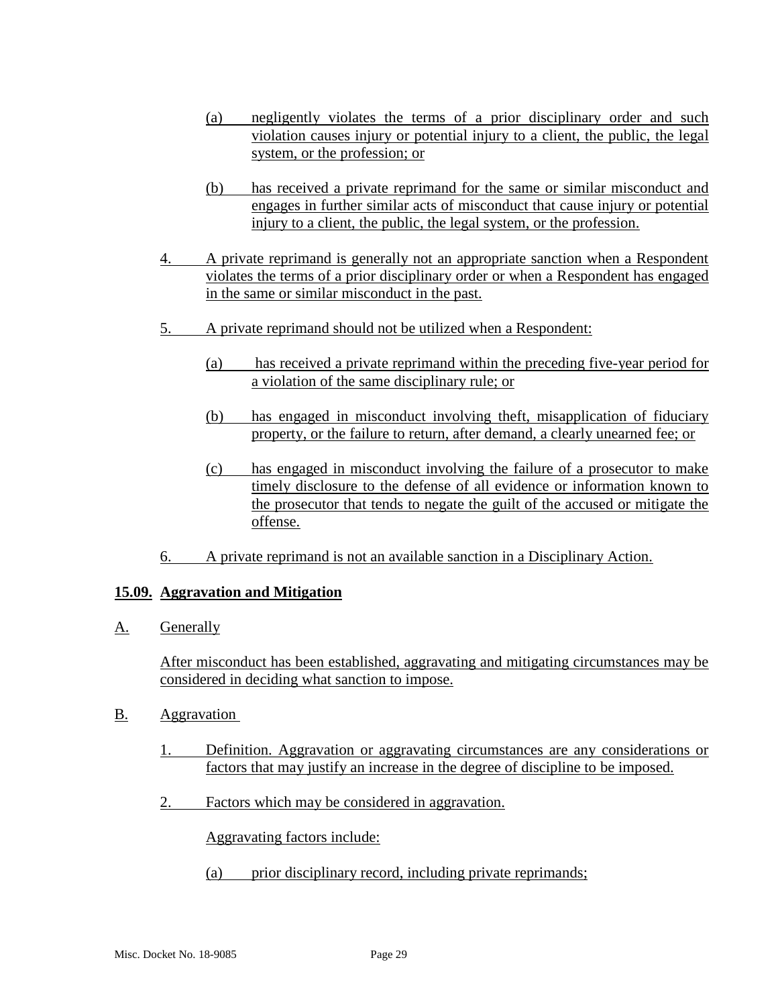- (a) negligently violates the terms of a prior disciplinary order and such violation causes injury or potential injury to a client, the public, the legal system, or the profession; or
- (b) has received a private reprimand for the same or similar misconduct and engages in further similar acts of misconduct that cause injury or potential injury to a client, the public, the legal system, or the profession.
- 4. A private reprimand is generally not an appropriate sanction when a Respondent violates the terms of a prior disciplinary order or when a Respondent has engaged in the same or similar misconduct in the past.
- 5. A private reprimand should not be utilized when a Respondent:
	- (a) has received a private reprimand within the preceding five-year period for a violation of the same disciplinary rule; or
	- (b) has engaged in misconduct involving theft, misapplication of fiduciary property, or the failure to return, after demand, a clearly unearned fee; or
	- (c) has engaged in misconduct involving the failure of a prosecutor to make timely disclosure to the defense of all evidence or information known to the prosecutor that tends to negate the guilt of the accused or mitigate the offense.
- 6. A private reprimand is not an available sanction in a Disciplinary Action.

#### **15.09. Aggravation and Mitigation**

A. Generally

After misconduct has been established, aggravating and mitigating circumstances may be considered in deciding what sanction to impose.

- B. Aggravation
	- 1. Definition. Aggravation or aggravating circumstances are any considerations or factors that may justify an increase in the degree of discipline to be imposed.
	- 2. Factors which may be considered in aggravation.

Aggravating factors include:

(a) prior disciplinary record, including private reprimands;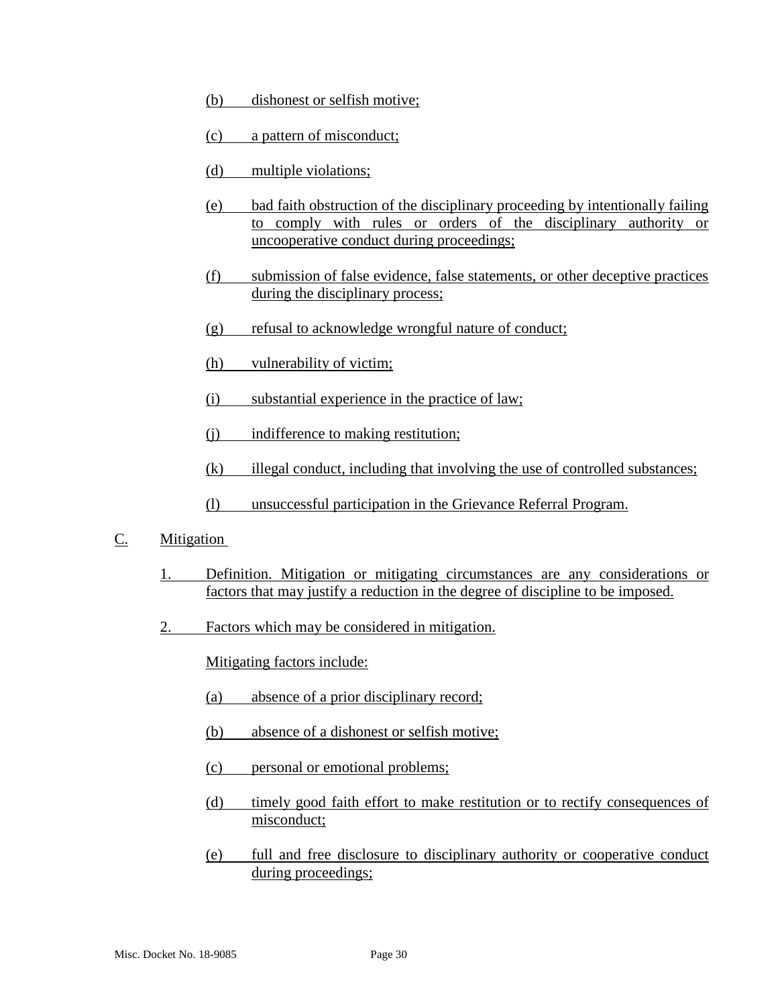- (b) dishonest or selfish motive;
- (c) a pattern of misconduct;
- (d) multiple violations;
- (e) bad faith obstruction of the disciplinary proceeding by intentionally failing to comply with rules or orders of the disciplinary authority or uncooperative conduct during proceedings;
- (f) submission of false evidence, false statements, or other deceptive practices during the disciplinary process;
- (g) refusal to acknowledge wrongful nature of conduct;
- (h) vulnerability of victim;
- (i) substantial experience in the practice of law;
- (j) indifference to making restitution;
- (k) illegal conduct, including that involving the use of controlled substances;
- (l) unsuccessful participation in the Grievance Referral Program.
- C. Mitigation
	- 1. Definition. Mitigation or mitigating circumstances are any considerations or factors that may justify a reduction in the degree of discipline to be imposed.
	- 2. Factors which may be considered in mitigation.

Mitigating factors include:

- (a) absence of a prior disciplinary record;
- (b) absence of a dishonest or selfish motive;
- (c) personal or emotional problems;
- (d) timely good faith effort to make restitution or to rectify consequences of misconduct;
- (e) full and free disclosure to disciplinary authority or cooperative conduct during proceedings;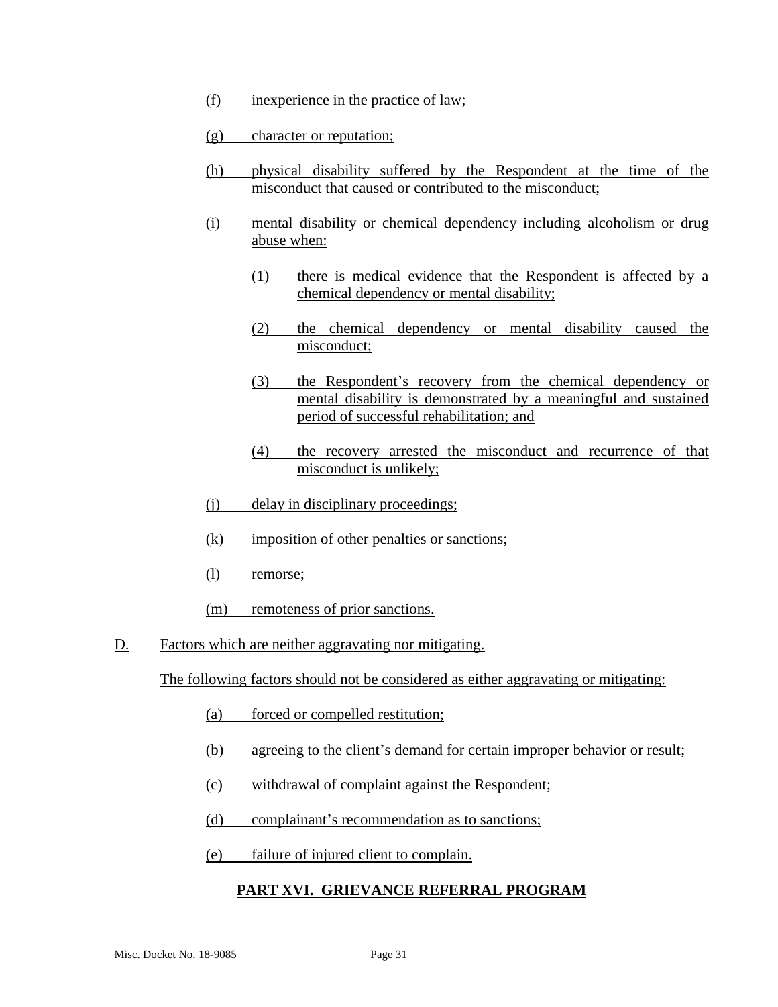- (f) inexperience in the practice of law;
- (g) character or reputation;
- (h) physical disability suffered by the Respondent at the time of the misconduct that caused or contributed to the misconduct;
- (i) mental disability or chemical dependency including alcoholism or drug abuse when:
	- (1) there is medical evidence that the Respondent is affected by a chemical dependency or mental disability;
	- (2) the chemical dependency or mental disability caused the misconduct;
	- (3) the Respondent's recovery from the chemical dependency or mental disability is demonstrated by a meaningful and sustained period of successful rehabilitation; and
	- (4) the recovery arrested the misconduct and recurrence of that misconduct is unlikely;
- (j) delay in disciplinary proceedings;
- (k) imposition of other penalties or sanctions;
- (l) remorse;
- (m) remoteness of prior sanctions.
- D. Factors which are neither aggravating nor mitigating.

The following factors should not be considered as either aggravating or mitigating:

- (a) forced or compelled restitution;
- (b) agreeing to the client's demand for certain improper behavior or result;
- (c) withdrawal of complaint against the Respondent;
- (d) complainant's recommendation as to sanctions;
- (e) failure of injured client to complain.

#### **PART XVI. GRIEVANCE REFERRAL PROGRAM**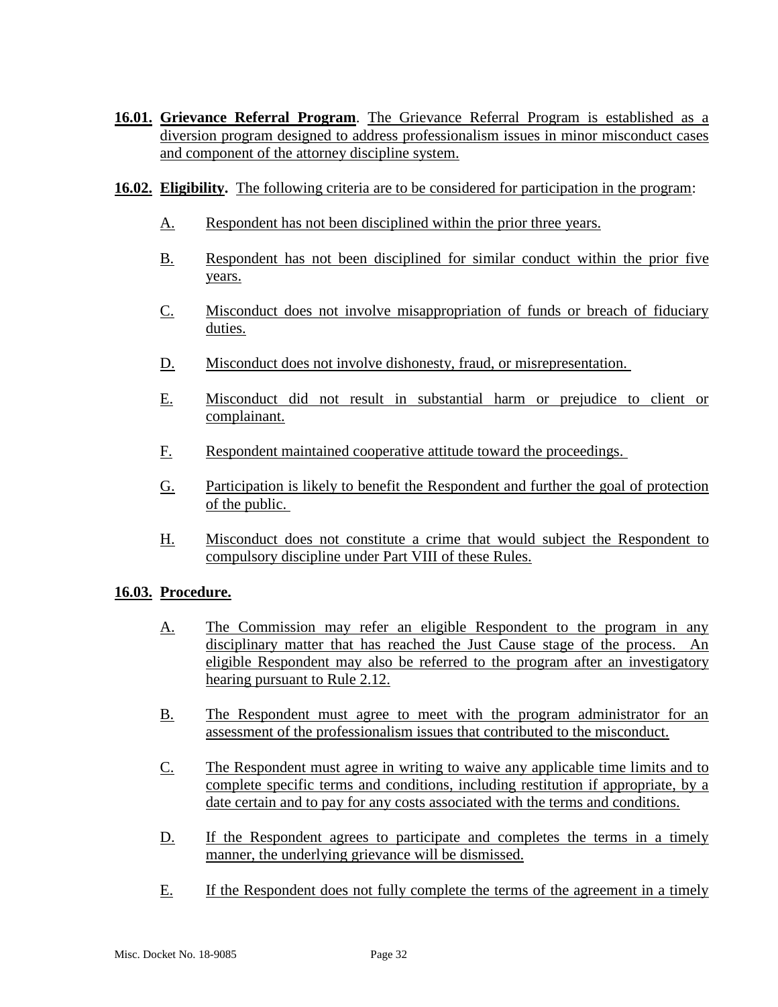- **16.01. Grievance Referral Program**. The Grievance Referral Program is established as a diversion program designed to address professionalism issues in minor misconduct cases and component of the attorney discipline system.
- **16.02. Eligibility.** The following criteria are to be considered for participation in the program:
	- A. Respondent has not been disciplined within the prior three years.
	- B. Respondent has not been disciplined for similar conduct within the prior five years.
	- C. Misconduct does not involve misappropriation of funds or breach of fiduciary duties.
	- D. Misconduct does not involve dishonesty, fraud, or misrepresentation.
	- E. Misconduct did not result in substantial harm or prejudice to client or complainant.
	- F. Respondent maintained cooperative attitude toward the proceedings.
	- G. Participation is likely to benefit the Respondent and further the goal of protection of the public.
	- H. Misconduct does not constitute a crime that would subject the Respondent to compulsory discipline under Part VIII of these Rules.

### **16.03. Procedure.**

- A. The Commission may refer an eligible Respondent to the program in any disciplinary matter that has reached the Just Cause stage of the process. An eligible Respondent may also be referred to the program after an investigatory hearing pursuant to Rule 2.12.
- B. The Respondent must agree to meet with the program administrator for an assessment of the professionalism issues that contributed to the misconduct.
- C. The Respondent must agree in writing to waive any applicable time limits and to complete specific terms and conditions, including restitution if appropriate, by a date certain and to pay for any costs associated with the terms and conditions.
- D. If the Respondent agrees to participate and completes the terms in a timely manner, the underlying grievance will be dismissed.
- E. If the Respondent does not fully complete the terms of the agreement in a timely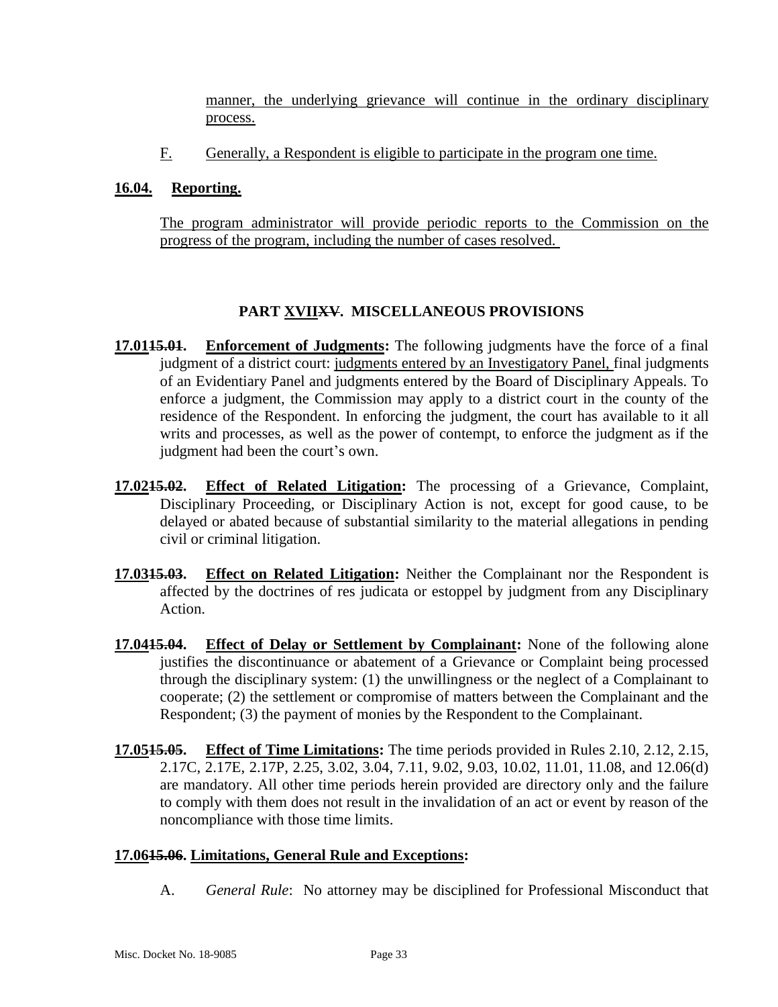manner, the underlying grievance will continue in the ordinary disciplinary process.

F. Generally, a Respondent is eligible to participate in the program one time.

### **16.04. Reporting.**

The program administrator will provide periodic reports to the Commission on the progress of the program, including the number of cases resolved.

### **PART XVIIXV. MISCELLANEOUS PROVISIONS**

- **17.0115.01. Enforcement of Judgments:** The following judgments have the force of a final judgment of a district court: judgments entered by an Investigatory Panel, final judgments of an Evidentiary Panel and judgments entered by the Board of Disciplinary Appeals. To enforce a judgment, the Commission may apply to a district court in the county of the residence of the Respondent. In enforcing the judgment, the court has available to it all writs and processes, as well as the power of contempt, to enforce the judgment as if the judgment had been the court's own.
- **17.0215.02. Effect of Related Litigation:** The processing of a Grievance, Complaint, Disciplinary Proceeding, or Disciplinary Action is not, except for good cause, to be delayed or abated because of substantial similarity to the material allegations in pending civil or criminal litigation.
- **17.0315.03. Effect on Related Litigation:** Neither the Complainant nor the Respondent is affected by the doctrines of res judicata or estoppel by judgment from any Disciplinary Action.
- **17.0415.04. Effect of Delay or Settlement by Complainant:** None of the following alone justifies the discontinuance or abatement of a Grievance or Complaint being processed through the disciplinary system: (1) the unwillingness or the neglect of a Complainant to cooperate; (2) the settlement or compromise of matters between the Complainant and the Respondent; (3) the payment of monies by the Respondent to the Complainant.
- **17.0515.05. Effect of Time Limitations:** The time periods provided in Rules 2.10, 2.12, 2.15, 2.17C, 2.17E, 2.17P, 2.25, 3.02, 3.04, 7.11, 9.02, 9.03, 10.02, 11.01, 11.08, and 12.06(d) are mandatory. All other time periods herein provided are directory only and the failure to comply with them does not result in the invalidation of an act or event by reason of the noncompliance with those time limits.

### **17.0615.06. Limitations, General Rule and Exceptions:**

A. *General Rule*: No attorney may be disciplined for Professional Misconduct that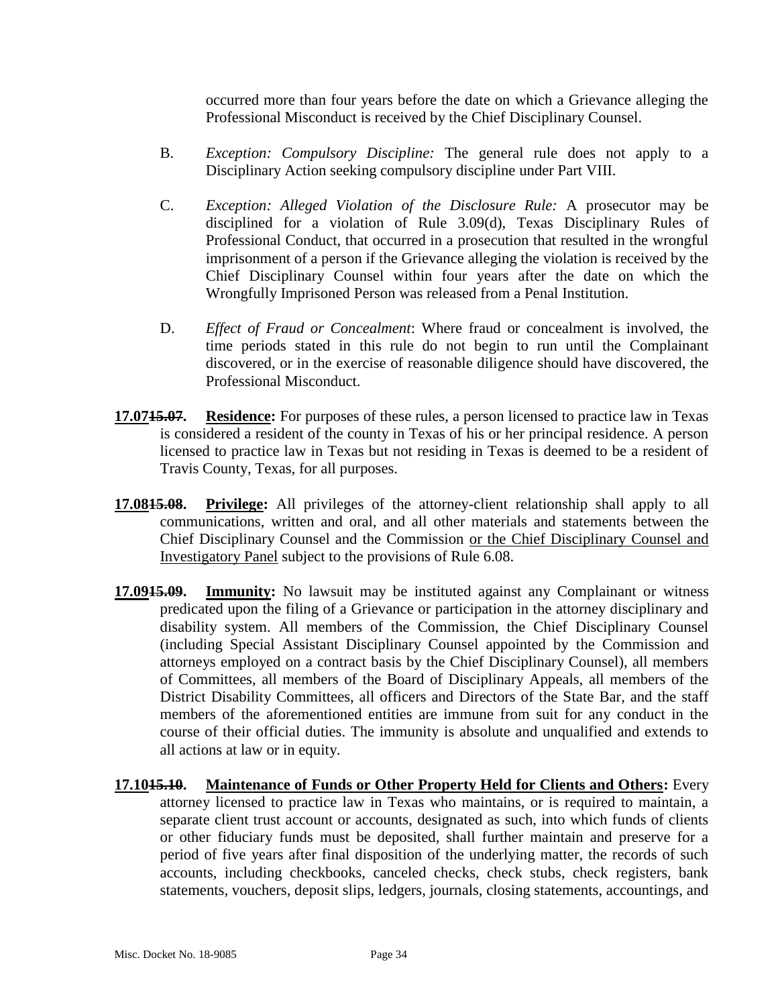occurred more than four years before the date on which a Grievance alleging the Professional Misconduct is received by the Chief Disciplinary Counsel.

- B. *Exception: Compulsory Discipline:* The general rule does not apply to a Disciplinary Action seeking compulsory discipline under Part VIII.
- C. *Exception: Alleged Violation of the Disclosure Rule:* A prosecutor may be disciplined for a violation of Rule 3.09(d), Texas Disciplinary Rules of Professional Conduct, that occurred in a prosecution that resulted in the wrongful imprisonment of a person if the Grievance alleging the violation is received by the Chief Disciplinary Counsel within four years after the date on which the Wrongfully Imprisoned Person was released from a Penal Institution.
- D. *Effect of Fraud or Concealment*: Where fraud or concealment is involved, the time periods stated in this rule do not begin to run until the Complainant discovered, or in the exercise of reasonable diligence should have discovered, the Professional Misconduct.
- **17.0715.07. Residence:** For purposes of these rules, a person licensed to practice law in Texas is considered a resident of the county in Texas of his or her principal residence. A person licensed to practice law in Texas but not residing in Texas is deemed to be a resident of Travis County, Texas, for all purposes.
- **17.0815.08. Privilege:** All privileges of the attorney-client relationship shall apply to all communications, written and oral, and all other materials and statements between the Chief Disciplinary Counsel and the Commission or the Chief Disciplinary Counsel and Investigatory Panel subject to the provisions of Rule 6.08.
- **17.0915.09. Immunity:** No lawsuit may be instituted against any Complainant or witness predicated upon the filing of a Grievance or participation in the attorney disciplinary and disability system. All members of the Commission, the Chief Disciplinary Counsel (including Special Assistant Disciplinary Counsel appointed by the Commission and attorneys employed on a contract basis by the Chief Disciplinary Counsel), all members of Committees, all members of the Board of Disciplinary Appeals, all members of the District Disability Committees, all officers and Directors of the State Bar, and the staff members of the aforementioned entities are immune from suit for any conduct in the course of their official duties. The immunity is absolute and unqualified and extends to all actions at law or in equity.
- **17.1015.10. Maintenance of Funds or Other Property Held for Clients and Others:** Every attorney licensed to practice law in Texas who maintains, or is required to maintain, a separate client trust account or accounts, designated as such, into which funds of clients or other fiduciary funds must be deposited, shall further maintain and preserve for a period of five years after final disposition of the underlying matter, the records of such accounts, including checkbooks, canceled checks, check stubs, check registers, bank statements, vouchers, deposit slips, ledgers, journals, closing statements, accountings, and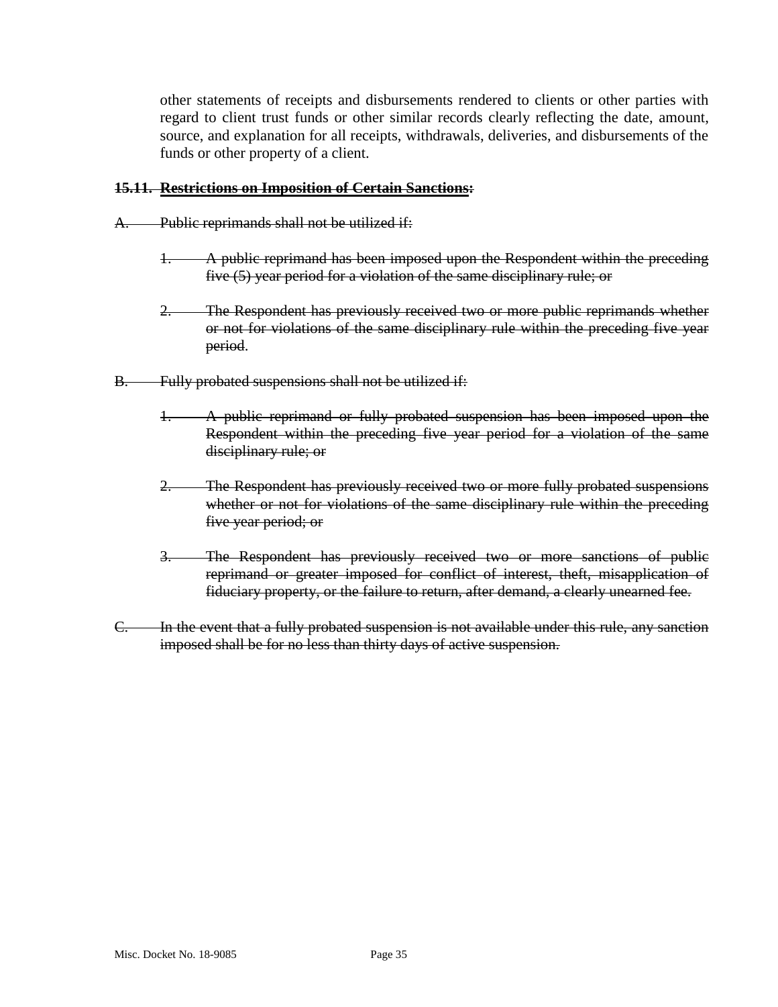other statements of receipts and disbursements rendered to clients or other parties with regard to client trust funds or other similar records clearly reflecting the date, amount, source, and explanation for all receipts, withdrawals, deliveries, and disbursements of the funds or other property of a client.

#### **15.11. Restrictions on Imposition of Certain Sanctions:**

- A. Public reprimands shall not be utilized if:
	- A public reprimand has been imposed upon the Respondent within the preceding five (5) year period for a violation of the same disciplinary rule; or
	- 2. The Respondent has previously received two or more public reprimands whether or not for violations of the same disciplinary rule within the preceding five year period.
- B. Fully probated suspensions shall not be utilized if:
	- 1. A public reprimand or fully probated suspension has been imposed upon the Respondent within the preceding five year period for a violation of the same disciplinary rule; or
	- The Respondent has previously received two or more fully probated suspensions whether or not for violations of the same disciplinary rule within the preceding five year period; or
	- 3. The Respondent has previously received two or more sanctions of public reprimand or greater imposed for conflict of interest, theft, misapplication of fiduciary property, or the failure to return, after demand, a clearly unearned fee.
- C. In the event that a fully probated suspension is not available under this rule, any sanction imposed shall be for no less than thirty days of active suspension.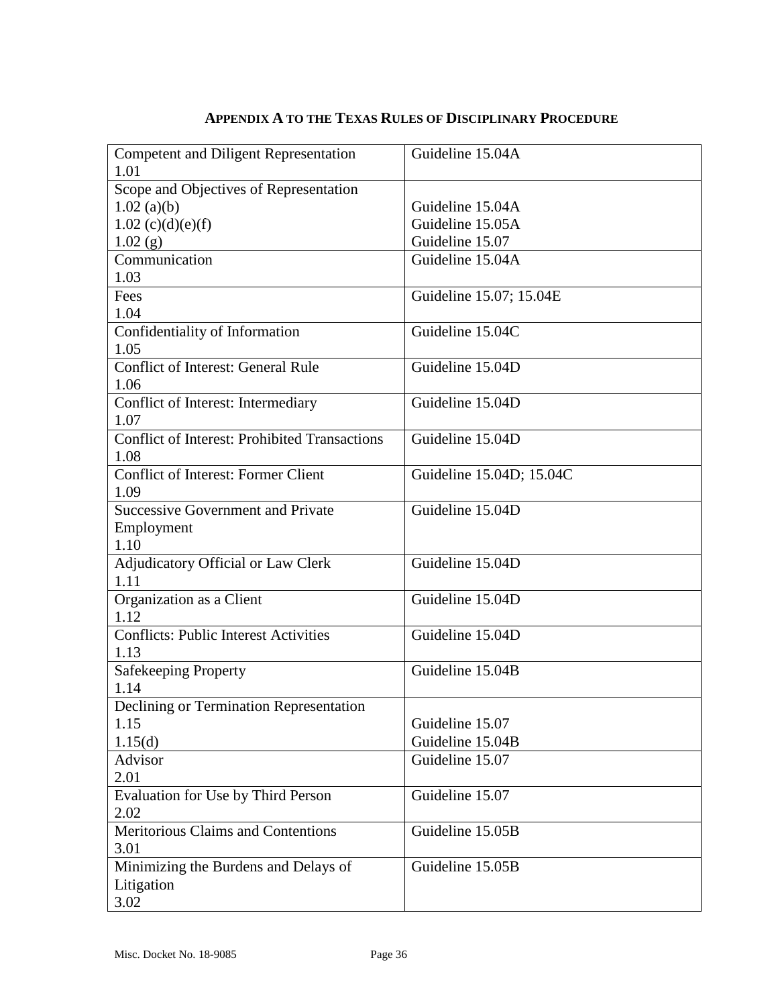| <b>Competent and Diligent Representation</b>         | Guideline 15.04A         |
|------------------------------------------------------|--------------------------|
| 1.01                                                 |                          |
| Scope and Objectives of Representation               |                          |
| $1.02$ (a)(b)                                        | Guideline 15.04A         |
| $1.02$ (c)(d)(e)(f)                                  | Guideline 15.05A         |
| 1.02(g)                                              | Guideline 15.07          |
| Communication                                        | Guideline 15.04A         |
| 1.03                                                 |                          |
| Fees                                                 | Guideline 15.07; 15.04E  |
| 1.04                                                 |                          |
| Confidentiality of Information                       | Guideline 15.04C         |
| 1.05                                                 |                          |
| <b>Conflict of Interest: General Rule</b>            | Guideline 15.04D         |
| 1.06                                                 |                          |
| Conflict of Interest: Intermediary                   | Guideline 15.04D         |
| 1.07                                                 |                          |
| <b>Conflict of Interest: Prohibited Transactions</b> | Guideline 15.04D         |
| 1.08                                                 |                          |
| <b>Conflict of Interest: Former Client</b>           | Guideline 15.04D; 15.04C |
| 1.09                                                 |                          |
| <b>Successive Government and Private</b>             | Guideline 15.04D         |
| Employment                                           |                          |
| 1.10                                                 |                          |
| Adjudicatory Official or Law Clerk                   | Guideline 15.04D         |
| 1.11                                                 |                          |
| Organization as a Client                             | Guideline 15.04D         |
| 1.12                                                 |                          |
| <b>Conflicts: Public Interest Activities</b>         | Guideline 15.04D         |
| 1.13                                                 |                          |
| <b>Safekeeping Property</b>                          | Guideline 15.04B         |
| 1.14                                                 |                          |
| Declining or Termination Representation              |                          |
| 1.15                                                 | Guideline 15.07          |
| 1.15(d)                                              | Guideline 15.04B         |
| Advisor                                              | Guideline 15.07          |
| 2.01                                                 |                          |
| Evaluation for Use by Third Person                   | Guideline 15.07          |
| 2.02                                                 |                          |
| Meritorious Claims and Contentions                   | Guideline 15.05B         |
| 3.01                                                 |                          |
| Minimizing the Burdens and Delays of                 | Guideline 15.05B         |
| Litigation                                           |                          |
| 3.02                                                 |                          |
|                                                      |                          |

## **APPENDIX A TO THE TEXAS RULES OF DISCIPLINARY PROCEDURE**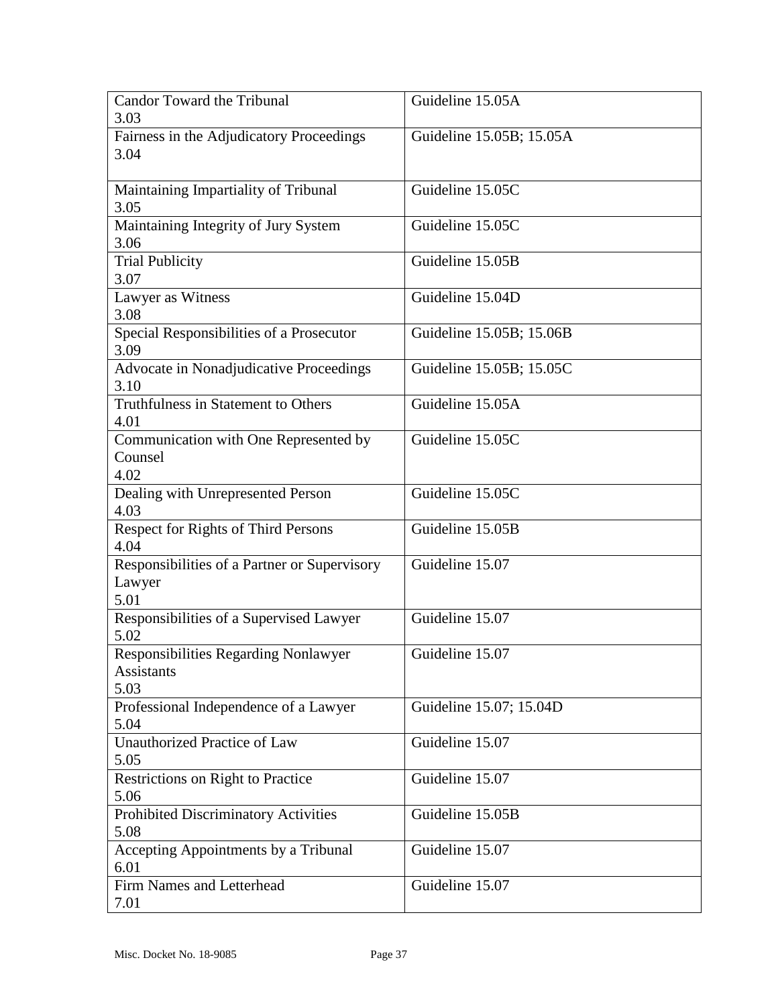| Fairness in the Adjudicatory Proceedings<br>Guideline 15.05B; 15.05A<br>3.04<br>Maintaining Impartiality of Tribunal<br>Guideline 15.05C<br>3.05<br>Maintaining Integrity of Jury System<br>Guideline 15.05C<br>3.06<br><b>Trial Publicity</b><br>Guideline 15.05B<br>3.07<br>Lawyer as Witness<br>Guideline 15.04D<br>3.08<br>Special Responsibilities of a Prosecutor<br>Guideline 15.05B; 15.06B<br>3.09<br>Advocate in Nonadjudicative Proceedings<br>Guideline 15.05B; 15.05C<br>3.10<br>Truthfulness in Statement to Others<br>Guideline 15.05A<br>4.01<br>Communication with One Represented by<br>Guideline 15.05C<br>Counsel<br>4.02<br>Guideline 15.05C<br>Dealing with Unrepresented Person<br>4.03<br>Respect for Rights of Third Persons<br>Guideline 15.05B<br>4.04<br>Responsibilities of a Partner or Supervisory<br>Guideline 15.07<br>Lawyer<br>5.01<br>Responsibilities of a Supervised Lawyer<br>Guideline 15.07<br>5.02<br>Responsibilities Regarding Nonlawyer<br>Guideline 15.07<br><b>Assistants</b><br>5.03<br>Professional Independence of a Lawyer<br>Guideline 15.07; 15.04D<br>5.04 | <b>Candor Toward the Tribunal</b><br>3.03 | Guideline 15.05A |
|------------------------------------------------------------------------------------------------------------------------------------------------------------------------------------------------------------------------------------------------------------------------------------------------------------------------------------------------------------------------------------------------------------------------------------------------------------------------------------------------------------------------------------------------------------------------------------------------------------------------------------------------------------------------------------------------------------------------------------------------------------------------------------------------------------------------------------------------------------------------------------------------------------------------------------------------------------------------------------------------------------------------------------------------------------------------------------------------------------------|-------------------------------------------|------------------|
|                                                                                                                                                                                                                                                                                                                                                                                                                                                                                                                                                                                                                                                                                                                                                                                                                                                                                                                                                                                                                                                                                                                  |                                           |                  |
|                                                                                                                                                                                                                                                                                                                                                                                                                                                                                                                                                                                                                                                                                                                                                                                                                                                                                                                                                                                                                                                                                                                  |                                           |                  |
|                                                                                                                                                                                                                                                                                                                                                                                                                                                                                                                                                                                                                                                                                                                                                                                                                                                                                                                                                                                                                                                                                                                  |                                           |                  |
|                                                                                                                                                                                                                                                                                                                                                                                                                                                                                                                                                                                                                                                                                                                                                                                                                                                                                                                                                                                                                                                                                                                  |                                           |                  |
|                                                                                                                                                                                                                                                                                                                                                                                                                                                                                                                                                                                                                                                                                                                                                                                                                                                                                                                                                                                                                                                                                                                  |                                           |                  |
|                                                                                                                                                                                                                                                                                                                                                                                                                                                                                                                                                                                                                                                                                                                                                                                                                                                                                                                                                                                                                                                                                                                  |                                           |                  |
|                                                                                                                                                                                                                                                                                                                                                                                                                                                                                                                                                                                                                                                                                                                                                                                                                                                                                                                                                                                                                                                                                                                  |                                           |                  |
|                                                                                                                                                                                                                                                                                                                                                                                                                                                                                                                                                                                                                                                                                                                                                                                                                                                                                                                                                                                                                                                                                                                  |                                           |                  |
|                                                                                                                                                                                                                                                                                                                                                                                                                                                                                                                                                                                                                                                                                                                                                                                                                                                                                                                                                                                                                                                                                                                  |                                           |                  |
|                                                                                                                                                                                                                                                                                                                                                                                                                                                                                                                                                                                                                                                                                                                                                                                                                                                                                                                                                                                                                                                                                                                  |                                           |                  |
|                                                                                                                                                                                                                                                                                                                                                                                                                                                                                                                                                                                                                                                                                                                                                                                                                                                                                                                                                                                                                                                                                                                  |                                           |                  |
|                                                                                                                                                                                                                                                                                                                                                                                                                                                                                                                                                                                                                                                                                                                                                                                                                                                                                                                                                                                                                                                                                                                  |                                           |                  |
|                                                                                                                                                                                                                                                                                                                                                                                                                                                                                                                                                                                                                                                                                                                                                                                                                                                                                                                                                                                                                                                                                                                  |                                           |                  |
|                                                                                                                                                                                                                                                                                                                                                                                                                                                                                                                                                                                                                                                                                                                                                                                                                                                                                                                                                                                                                                                                                                                  |                                           |                  |
|                                                                                                                                                                                                                                                                                                                                                                                                                                                                                                                                                                                                                                                                                                                                                                                                                                                                                                                                                                                                                                                                                                                  |                                           |                  |
|                                                                                                                                                                                                                                                                                                                                                                                                                                                                                                                                                                                                                                                                                                                                                                                                                                                                                                                                                                                                                                                                                                                  |                                           |                  |
|                                                                                                                                                                                                                                                                                                                                                                                                                                                                                                                                                                                                                                                                                                                                                                                                                                                                                                                                                                                                                                                                                                                  |                                           |                  |
|                                                                                                                                                                                                                                                                                                                                                                                                                                                                                                                                                                                                                                                                                                                                                                                                                                                                                                                                                                                                                                                                                                                  |                                           |                  |
|                                                                                                                                                                                                                                                                                                                                                                                                                                                                                                                                                                                                                                                                                                                                                                                                                                                                                                                                                                                                                                                                                                                  |                                           |                  |
|                                                                                                                                                                                                                                                                                                                                                                                                                                                                                                                                                                                                                                                                                                                                                                                                                                                                                                                                                                                                                                                                                                                  |                                           |                  |
|                                                                                                                                                                                                                                                                                                                                                                                                                                                                                                                                                                                                                                                                                                                                                                                                                                                                                                                                                                                                                                                                                                                  |                                           |                  |
|                                                                                                                                                                                                                                                                                                                                                                                                                                                                                                                                                                                                                                                                                                                                                                                                                                                                                                                                                                                                                                                                                                                  |                                           |                  |
|                                                                                                                                                                                                                                                                                                                                                                                                                                                                                                                                                                                                                                                                                                                                                                                                                                                                                                                                                                                                                                                                                                                  |                                           |                  |
|                                                                                                                                                                                                                                                                                                                                                                                                                                                                                                                                                                                                                                                                                                                                                                                                                                                                                                                                                                                                                                                                                                                  |                                           |                  |
|                                                                                                                                                                                                                                                                                                                                                                                                                                                                                                                                                                                                                                                                                                                                                                                                                                                                                                                                                                                                                                                                                                                  |                                           |                  |
|                                                                                                                                                                                                                                                                                                                                                                                                                                                                                                                                                                                                                                                                                                                                                                                                                                                                                                                                                                                                                                                                                                                  |                                           |                  |
|                                                                                                                                                                                                                                                                                                                                                                                                                                                                                                                                                                                                                                                                                                                                                                                                                                                                                                                                                                                                                                                                                                                  |                                           |                  |
|                                                                                                                                                                                                                                                                                                                                                                                                                                                                                                                                                                                                                                                                                                                                                                                                                                                                                                                                                                                                                                                                                                                  |                                           |                  |
|                                                                                                                                                                                                                                                                                                                                                                                                                                                                                                                                                                                                                                                                                                                                                                                                                                                                                                                                                                                                                                                                                                                  |                                           |                  |
|                                                                                                                                                                                                                                                                                                                                                                                                                                                                                                                                                                                                                                                                                                                                                                                                                                                                                                                                                                                                                                                                                                                  |                                           |                  |
|                                                                                                                                                                                                                                                                                                                                                                                                                                                                                                                                                                                                                                                                                                                                                                                                                                                                                                                                                                                                                                                                                                                  |                                           |                  |
|                                                                                                                                                                                                                                                                                                                                                                                                                                                                                                                                                                                                                                                                                                                                                                                                                                                                                                                                                                                                                                                                                                                  |                                           |                  |
|                                                                                                                                                                                                                                                                                                                                                                                                                                                                                                                                                                                                                                                                                                                                                                                                                                                                                                                                                                                                                                                                                                                  | <b>Unauthorized Practice of Law</b>       | Guideline 15.07  |
| 5.05                                                                                                                                                                                                                                                                                                                                                                                                                                                                                                                                                                                                                                                                                                                                                                                                                                                                                                                                                                                                                                                                                                             |                                           |                  |
| Restrictions on Right to Practice<br>Guideline 15.07                                                                                                                                                                                                                                                                                                                                                                                                                                                                                                                                                                                                                                                                                                                                                                                                                                                                                                                                                                                                                                                             |                                           |                  |
| 5.06                                                                                                                                                                                                                                                                                                                                                                                                                                                                                                                                                                                                                                                                                                                                                                                                                                                                                                                                                                                                                                                                                                             |                                           |                  |
| Prohibited Discriminatory Activities<br>Guideline 15.05B                                                                                                                                                                                                                                                                                                                                                                                                                                                                                                                                                                                                                                                                                                                                                                                                                                                                                                                                                                                                                                                         |                                           |                  |
| 5.08                                                                                                                                                                                                                                                                                                                                                                                                                                                                                                                                                                                                                                                                                                                                                                                                                                                                                                                                                                                                                                                                                                             |                                           |                  |
| Accepting Appointments by a Tribunal<br>Guideline 15.07<br>6.01                                                                                                                                                                                                                                                                                                                                                                                                                                                                                                                                                                                                                                                                                                                                                                                                                                                                                                                                                                                                                                                  |                                           |                  |
| Firm Names and Letterhead<br>Guideline 15.07                                                                                                                                                                                                                                                                                                                                                                                                                                                                                                                                                                                                                                                                                                                                                                                                                                                                                                                                                                                                                                                                     |                                           |                  |
| 7.01                                                                                                                                                                                                                                                                                                                                                                                                                                                                                                                                                                                                                                                                                                                                                                                                                                                                                                                                                                                                                                                                                                             |                                           |                  |